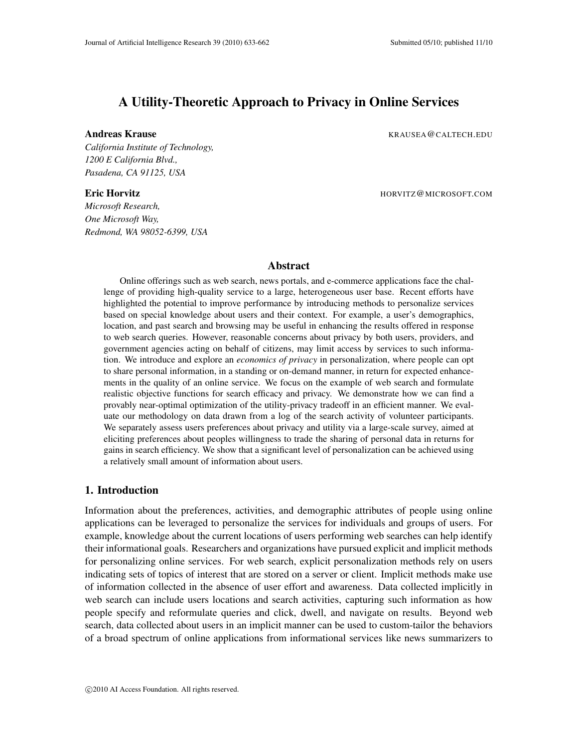# A Utility-Theoretic Approach to Privacy in Online Services

#### Andreas Krause KRAUSEA & KRAUSEA GOALTECH.EDU

*California Institute of Technology, 1200 E California Blvd., Pasadena, CA 91125, USA*

Eric Horvitz **Horvitz HORVITZ@MICROSOFT.COM** 

*Microsoft Research, One Microsoft Way, Redmond, WA 98052-6399, USA*

# Abstract

Online offerings such as web search, news portals, and e-commerce applications face the challenge of providing high-quality service to a large, heterogeneous user base. Recent efforts have highlighted the potential to improve performance by introducing methods to personalize services based on special knowledge about users and their context. For example, a user's demographics, location, and past search and browsing may be useful in enhancing the results offered in response to web search queries. However, reasonable concerns about privacy by both users, providers, and government agencies acting on behalf of citizens, may limit access by services to such information. We introduce and explore an *economics of privacy* in personalization, where people can opt to share personal information, in a standing or on-demand manner, in return for expected enhancements in the quality of an online service. We focus on the example of web search and formulate realistic objective functions for search efficacy and privacy. We demonstrate how we can find a provably near-optimal optimization of the utility-privacy tradeoff in an efficient manner. We evaluate our methodology on data drawn from a log of the search activity of volunteer participants. We separately assess users preferences about privacy and utility via a large-scale survey, aimed at eliciting preferences about peoples willingness to trade the sharing of personal data in returns for gains in search efficiency. We show that a significant level of personalization can be achieved using a relatively small amount of information about users.

# 1. Introduction

Information about the preferences, activities, and demographic attributes of people using online applications can be leveraged to personalize the services for individuals and groups of users. For example, knowledge about the current locations of users performing web searches can help identify their informational goals. Researchers and organizations have pursued explicit and implicit methods for personalizing online services. For web search, explicit personalization methods rely on users indicating sets of topics of interest that are stored on a server or client. Implicit methods make use of information collected in the absence of user effort and awareness. Data collected implicitly in web search can include users locations and search activities, capturing such information as how people specify and reformulate queries and click, dwell, and navigate on results. Beyond web search, data collected about users in an implicit manner can be used to custom-tailor the behaviors of a broad spectrum of online applications from informational services like news summarizers to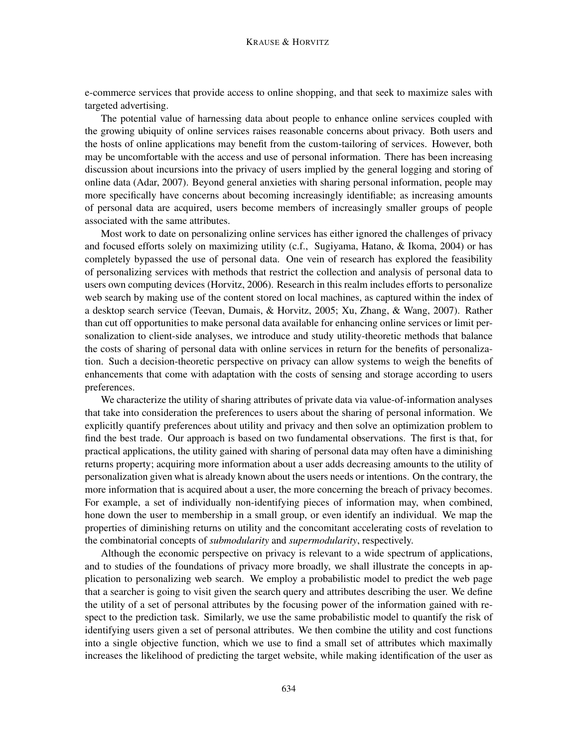e-commerce services that provide access to online shopping, and that seek to maximize sales with targeted advertising.

The potential value of harnessing data about people to enhance online services coupled with the growing ubiquity of online services raises reasonable concerns about privacy. Both users and the hosts of online applications may benefit from the custom-tailoring of services. However, both may be uncomfortable with the access and use of personal information. There has been increasing discussion about incursions into the privacy of users implied by the general logging and storing of online data (Adar, 2007). Beyond general anxieties with sharing personal information, people may more specifically have concerns about becoming increasingly identifiable; as increasing amounts of personal data are acquired, users become members of increasingly smaller groups of people associated with the same attributes.

Most work to date on personalizing online services has either ignored the challenges of privacy and focused efforts solely on maximizing utility (c.f., Sugiyama, Hatano, & Ikoma, 2004) or has completely bypassed the use of personal data. One vein of research has explored the feasibility of personalizing services with methods that restrict the collection and analysis of personal data to users own computing devices (Horvitz, 2006). Research in this realm includes efforts to personalize web search by making use of the content stored on local machines, as captured within the index of a desktop search service (Teevan, Dumais, & Horvitz, 2005; Xu, Zhang, & Wang, 2007). Rather than cut off opportunities to make personal data available for enhancing online services or limit personalization to client-side analyses, we introduce and study utility-theoretic methods that balance the costs of sharing of personal data with online services in return for the benefits of personalization. Such a decision-theoretic perspective on privacy can allow systems to weigh the benefits of enhancements that come with adaptation with the costs of sensing and storage according to users preferences.

We characterize the utility of sharing attributes of private data via value-of-information analyses that take into consideration the preferences to users about the sharing of personal information. We explicitly quantify preferences about utility and privacy and then solve an optimization problem to find the best trade. Our approach is based on two fundamental observations. The first is that, for practical applications, the utility gained with sharing of personal data may often have a diminishing returns property; acquiring more information about a user adds decreasing amounts to the utility of personalization given what is already known about the users needs or intentions. On the contrary, the more information that is acquired about a user, the more concerning the breach of privacy becomes. For example, a set of individually non-identifying pieces of information may, when combined, hone down the user to membership in a small group, or even identify an individual. We map the properties of diminishing returns on utility and the concomitant accelerating costs of revelation to the combinatorial concepts of *submodularity* and *supermodularity*, respectively.

Although the economic perspective on privacy is relevant to a wide spectrum of applications, and to studies of the foundations of privacy more broadly, we shall illustrate the concepts in application to personalizing web search. We employ a probabilistic model to predict the web page that a searcher is going to visit given the search query and attributes describing the user. We define the utility of a set of personal attributes by the focusing power of the information gained with respect to the prediction task. Similarly, we use the same probabilistic model to quantify the risk of identifying users given a set of personal attributes. We then combine the utility and cost functions into a single objective function, which we use to find a small set of attributes which maximally increases the likelihood of predicting the target website, while making identification of the user as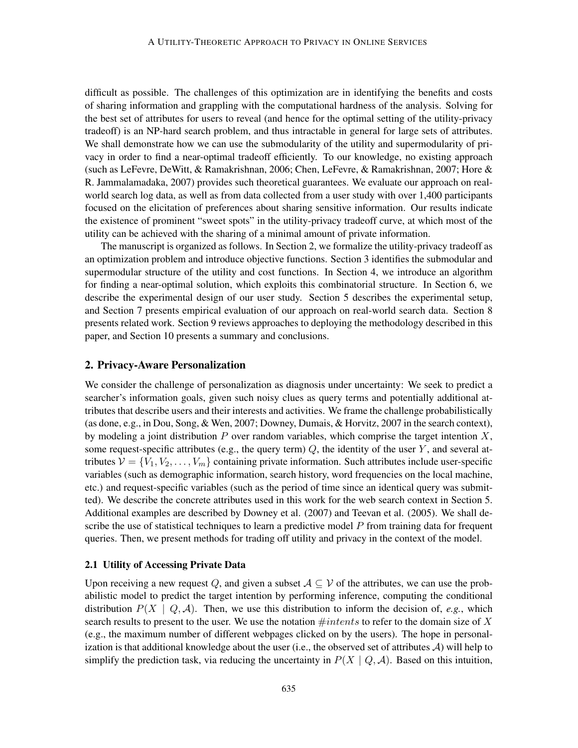difficult as possible. The challenges of this optimization are in identifying the benefits and costs of sharing information and grappling with the computational hardness of the analysis. Solving for the best set of attributes for users to reveal (and hence for the optimal setting of the utility-privacy tradeoff) is an NP-hard search problem, and thus intractable in general for large sets of attributes. We shall demonstrate how we can use the submodularity of the utility and supermodularity of privacy in order to find a near-optimal tradeoff efficiently. To our knowledge, no existing approach (such as LeFevre, DeWitt, & Ramakrishnan, 2006; Chen, LeFevre, & Ramakrishnan, 2007; Hore & R. Jammalamadaka, 2007) provides such theoretical guarantees. We evaluate our approach on realworld search log data, as well as from data collected from a user study with over 1,400 participants focused on the elicitation of preferences about sharing sensitive information. Our results indicate the existence of prominent "sweet spots" in the utility-privacy tradeoff curve, at which most of the utility can be achieved with the sharing of a minimal amount of private information.

The manuscript is organized as follows. In Section 2, we formalize the utility-privacy tradeoff as an optimization problem and introduce objective functions. Section 3 identifies the submodular and supermodular structure of the utility and cost functions. In Section 4, we introduce an algorithm for finding a near-optimal solution, which exploits this combinatorial structure. In Section 6, we describe the experimental design of our user study. Section 5 describes the experimental setup, and Section 7 presents empirical evaluation of our approach on real-world search data. Section 8 presents related work. Section 9 reviews approaches to deploying the methodology described in this paper, and Section 10 presents a summary and conclusions.

### 2. Privacy-Aware Personalization

We consider the challenge of personalization as diagnosis under uncertainty: We seek to predict a searcher's information goals, given such noisy clues as query terms and potentially additional attributes that describe users and their interests and activities. We frame the challenge probabilistically (as done, e.g., in Dou, Song, & Wen, 2007; Downey, Dumais, & Horvitz, 2007 in the search context), by modeling a joint distribution  $P$  over random variables, which comprise the target intention  $X$ , some request-specific attributes (e.g., the query term)  $Q$ , the identity of the user Y, and several attributes  $V = \{V_1, V_2, \ldots, V_m\}$  containing private information. Such attributes include user-specific variables (such as demographic information, search history, word frequencies on the local machine, etc.) and request-specific variables (such as the period of time since an identical query was submitted). We describe the concrete attributes used in this work for the web search context in Section 5. Additional examples are described by Downey et al. (2007) and Teevan et al. (2005). We shall describe the use of statistical techniques to learn a predictive model  $P$  from training data for frequent queries. Then, we present methods for trading off utility and privacy in the context of the model.

#### 2.1 Utility of Accessing Private Data

Upon receiving a new request Q, and given a subset  $A \subseteq V$  of the attributes, we can use the probabilistic model to predict the target intention by performing inference, computing the conditional distribution  $P(X \mid Q, A)$ . Then, we use this distribution to inform the decision of, *e.g.*, which search results to present to the user. We use the notation  $\#intents$  to refer to the domain size of X (e.g., the maximum number of different webpages clicked on by the users). The hope in personalization is that additional knowledge about the user (i.e., the observed set of attributes  $A$ ) will help to simplify the prediction task, via reducing the uncertainty in  $P(X | Q, A)$ . Based on this intuition,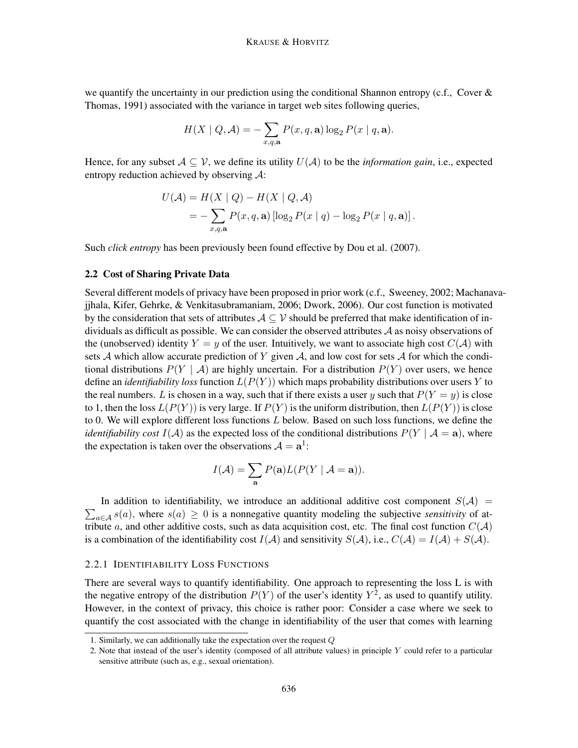we quantify the uncertainty in our prediction using the conditional Shannon entropy (c.f., Cover  $\&$ Thomas, 1991) associated with the variance in target web sites following queries,

$$
H(X \mid Q, \mathcal{A}) = -\sum_{x,q,\mathbf{a}} P(x,q,\mathbf{a}) \log_2 P(x \mid q, \mathbf{a}).
$$

Hence, for any subset  $A \subseteq V$ , we define its utility  $U(A)$  to be the *information gain*, i.e., expected entropy reduction achieved by observing A:

$$
U(\mathcal{A}) = H(X \mid Q) - H(X \mid Q, \mathcal{A})
$$
  
= 
$$
-\sum_{x,q,\mathbf{a}} P(x,q,\mathbf{a}) \left[\log_2 P(x \mid q) - \log_2 P(x \mid q, \mathbf{a})\right].
$$

Such *click entropy* has been previously been found effective by Dou et al. (2007).

# 2.2 Cost of Sharing Private Data

Several different models of privacy have been proposed in prior work (c.f., Sweeney, 2002; Machanavajjhala, Kifer, Gehrke, & Venkitasubramaniam, 2006; Dwork, 2006). Our cost function is motivated by the consideration that sets of attributes  $A \subseteq V$  should be preferred that make identification of individuals as difficult as possible. We can consider the observed attributes  $A$  as noisy observations of the (unobserved) identity  $Y = y$  of the user. Intuitively, we want to associate high cost  $C(A)$  with sets A which allow accurate prediction of Y given A, and low cost for sets A for which the conditional distributions  $P(Y | \mathcal{A})$  are highly uncertain. For a distribution  $P(Y)$  over users, we hence define an *identifiability loss* function  $L(P(Y))$  which maps probability distributions over users Y to the real numbers. L is chosen in a way, such that if there exists a user y such that  $P(Y = y)$  is close to 1, then the loss  $L(P(Y))$  is very large. If  $P(Y)$  is the uniform distribution, then  $L(P(Y))$  is close to 0. We will explore different loss functions  $L$  below. Based on such loss functions, we define the *identifiability cost*  $I(A)$  as the expected loss of the conditional distributions  $P(Y | A = a)$ , where the expectation is taken over the observations  $A = a^1$ :

$$
I(\mathcal{A}) = \sum_{\mathbf{a}} P(\mathbf{a}) L(P(Y \mid \mathcal{A} = \mathbf{a})).
$$

 $\sum_{a \in A} s(a)$ , where  $s(a) \geq 0$  is a nonnegative quantity modeling the subjective *sensitivity* of at-In addition to identifiability, we introduce an additional additive cost component  $S(\mathcal{A}) =$ tribute a, and other additive costs, such as data acquisition cost, etc. The final cost function  $C(\mathcal{A})$ is a combination of the identifiability cost  $I(\mathcal{A})$  and sensitivity  $S(\mathcal{A})$ , i.e.,  $C(\mathcal{A}) = I(\mathcal{A}) + S(\mathcal{A})$ .

# 2.2.1 IDENTIFIABILITY LOSS FUNCTIONS

There are several ways to quantify identifiability. One approach to representing the loss L is with the negative entropy of the distribution  $P(Y)$  of the user's identity  $Y^2$ , as used to quantify utility. However, in the context of privacy, this choice is rather poor: Consider a case where we seek to quantify the cost associated with the change in identifiability of the user that comes with learning

<sup>1.</sup> Similarly, we can additionally take the expectation over the request Q

<sup>2.</sup> Note that instead of the user's identity (composed of all attribute values) in principle Y could refer to a particular sensitive attribute (such as, e.g., sexual orientation).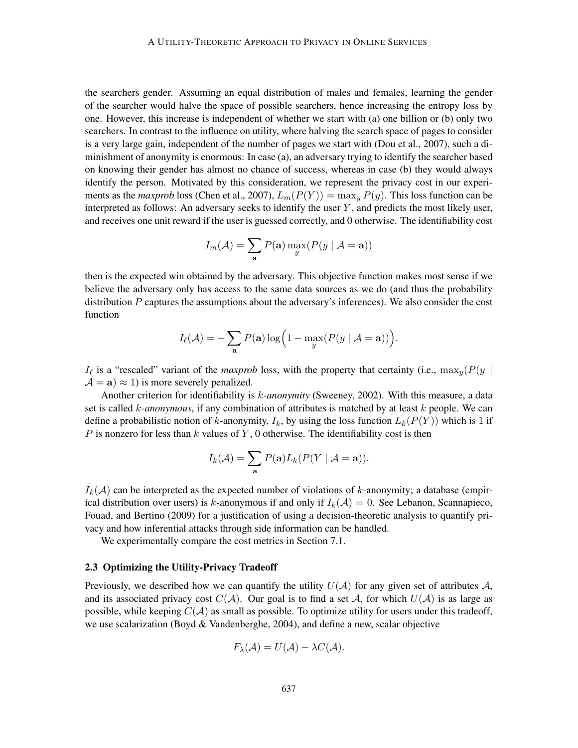the searchers gender. Assuming an equal distribution of males and females, learning the gender of the searcher would halve the space of possible searchers, hence increasing the entropy loss by one. However, this increase is independent of whether we start with (a) one billion or (b) only two searchers. In contrast to the influence on utility, where halving the search space of pages to consider is a very large gain, independent of the number of pages we start with (Dou et al., 2007), such a diminishment of anonymity is enormous: In case (a), an adversary trying to identify the searcher based on knowing their gender has almost no chance of success, whereas in case (b) they would always identify the person. Motivated by this consideration, we represent the privacy cost in our experiments as the *maxprob* loss (Chen et al., 2007),  $L_m(P(Y)) = \max_y P(y)$ . This loss function can be interpreted as follows: An adversary seeks to identify the user  $Y$ , and predicts the most likely user, and receives one unit reward if the user is guessed correctly, and 0 otherwise. The identifiability cost

$$
I_m(\mathcal{A}) = \sum_{\mathbf{a}} P(\mathbf{a}) \max_{y} (P(y \mid \mathcal{A} = \mathbf{a}))
$$

then is the expected win obtained by the adversary. This objective function makes most sense if we believe the adversary only has access to the same data sources as we do (and thus the probability distribution  $P$  captures the assumptions about the adversary's inferences). We also consider the cost function

$$
I_{\ell}(\mathcal{A}) = -\sum_{\mathbf{a}} P(\mathbf{a}) \log \Big( 1 - \max_{y} (P(y \mid \mathcal{A} = \mathbf{a})) \Big).
$$

 $I_{\ell}$  is a "rescaled" variant of the *maxprob* loss, with the property that certainty (i.e.,  $\max_{y}(P(y \mid$  $A = a$ )  $\approx$  1) is more severely penalized.

Another criterion for identifiability is k*-anonymity* (Sweeney, 2002). With this measure, a data set is called k*-anonymous*, if any combination of attributes is matched by at least k people. We can define a probabilistic notion of k-anonymity,  $I_k$ , by using the loss function  $L_k(P(Y))$  which is 1 if P is nonzero for less than k values of Y, 0 otherwise. The identifiability cost is then

$$
I_k(\mathcal{A}) = \sum_{\mathbf{a}} P(\mathbf{a}) L_k(P(Y \mid \mathcal{A} = \mathbf{a})).
$$

 $I_k(\mathcal{A})$  can be interpreted as the expected number of violations of k-anonymity; a database (empirical distribution over users) is k-anonymous if and only if  $I_k(\mathcal{A}) = 0$ . See Lebanon, Scannapieco, Fouad, and Bertino (2009) for a justification of using a decision-theoretic analysis to quantify privacy and how inferential attacks through side information can be handled.

We experimentally compare the cost metrics in Section 7.1.

#### 2.3 Optimizing the Utility-Privacy Tradeoff

Previously, we described how we can quantify the utility  $U(\mathcal{A})$  for any given set of attributes  $\mathcal{A}$ , and its associated privacy cost  $C(\mathcal{A})$ . Our goal is to find a set  $\mathcal{A}$ , for which  $U(\mathcal{A})$  is as large as possible, while keeping  $C(\mathcal{A})$  as small as possible. To optimize utility for users under this tradeoff, we use scalarization (Boyd & Vandenberghe, 2004), and define a new, scalar objective

$$
F_{\lambda}(\mathcal{A})=U(\mathcal{A})-\lambda C(\mathcal{A}).
$$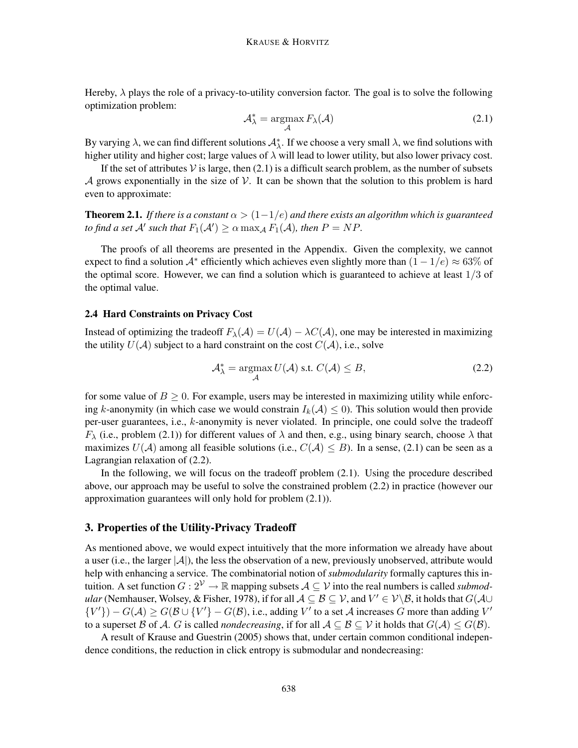Hereby,  $\lambda$  plays the role of a privacy-to-utility conversion factor. The goal is to solve the following optimization problem:

$$
\mathcal{A}_{\lambda}^{*} = \underset{\mathcal{A}}{\operatorname{argmax}} F_{\lambda}(\mathcal{A})
$$
\n(2.1)

By varying  $\lambda$ , we can find different solutions  $A^*_{\lambda}$ . If we choose a very small  $\lambda$ , we find solutions with higher utility and higher cost; large values of  $\lambda$  will lead to lower utility, but also lower privacy cost.

If the set of attributes  $V$  is large, then (2.1) is a difficult search problem, as the number of subsets A grows exponentially in the size of  $V$ . It can be shown that the solution to this problem is hard even to approximate:

**Theorem 2.1.** *If there is a constant*  $\alpha > (1-1/e)$  *and there exists an algorithm which is guaranteed* to find a set  $\mathcal{A}'$  such that  $F_1(\mathcal{A}') \ge \alpha \max_{\mathcal{A}} F_1(\mathcal{A})$ , then  $P = NP$ .

The proofs of all theorems are presented in the Appendix. Given the complexity, we cannot expect to find a solution  $A^*$  efficiently which achieves even slightly more than  $(1 - 1/e) \approx 63\%$  of the optimal score. However, we can find a solution which is guaranteed to achieve at least 1/3 of the optimal value.

# 2.4 Hard Constraints on Privacy Cost

Instead of optimizing the tradeoff  $F_{\lambda}(\mathcal{A}) = U(\mathcal{A}) - \lambda C(\mathcal{A})$ , one may be interested in maximizing the utility  $U(\mathcal{A})$  subject to a hard constraint on the cost  $C(\mathcal{A})$ , i.e., solve

$$
\mathcal{A}_{\lambda}^{*} = \underset{\mathcal{A}}{\operatorname{argmax}} U(\mathcal{A}) \text{ s.t. } C(\mathcal{A}) \leq B,
$$
 (2.2)

for some value of  $B \geq 0$ . For example, users may be interested in maximizing utility while enforcing k-anonymity (in which case we would constrain  $I_k(\mathcal{A}) \leq 0$ ). This solution would then provide per-user guarantees, i.e., k-anonymity is never violated. In principle, one could solve the tradeoff  $F_{\lambda}$  (i.e., problem (2.1)) for different values of  $\lambda$  and then, e.g., using binary search, choose  $\lambda$  that maximizes  $U(\mathcal{A})$  among all feasible solutions (i.e.,  $C(\mathcal{A}) \leq B$ ). In a sense, (2.1) can be seen as a Lagrangian relaxation of (2.2).

In the following, we will focus on the tradeoff problem (2.1). Using the procedure described above, our approach may be useful to solve the constrained problem (2.2) in practice (however our approximation guarantees will only hold for problem (2.1)).

## 3. Properties of the Utility-Privacy Tradeoff

As mentioned above, we would expect intuitively that the more information we already have about a user (i.e., the larger  $|A|$ ), the less the observation of a new, previously unobserved, attribute would help with enhancing a service. The combinatorial notion of *submodularity* formally captures this intuition. A set function  $G: 2^{\mathcal{V}} \to \mathbb{R}$  mapping subsets  $\mathcal{A} \subseteq \mathcal{V}$  into the real numbers is called *submodular* (Nemhauser, Wolsey, & Fisher, 1978), if for all  $A \subseteq B \subseteq V$ , and  $V' \in V \setminus B$ , it holds that  $G(A \cup$  ${V' \choose V} - G(A) \ge G(\mathcal{B} \cup {V'} - G(\mathcal{B}), \text{ i.e., adding } V'$  to a set A increases G more than adding V' to a superset B of A. G is called *nondecreasing*, if for all  $A \subseteq B \subseteq V$  it holds that  $G(A) \leq G(B)$ .

A result of Krause and Guestrin (2005) shows that, under certain common conditional independence conditions, the reduction in click entropy is submodular and nondecreasing: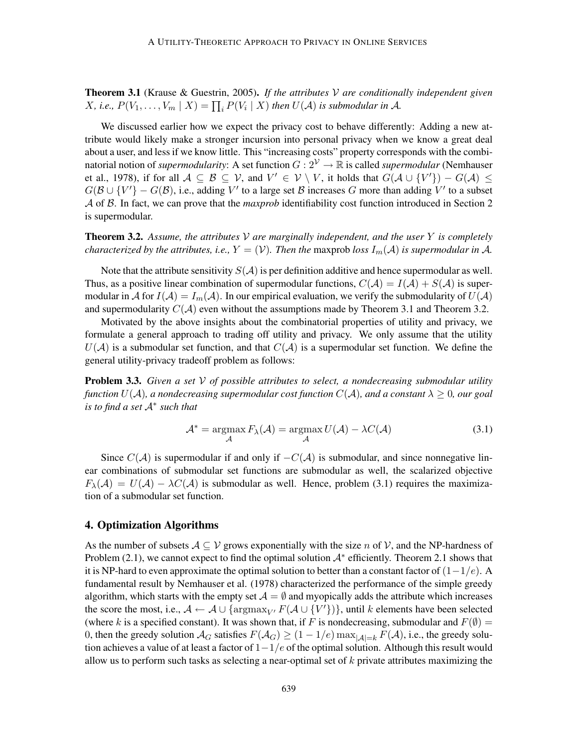Theorem 3.1 (Krause & Guestrin, 2005). *If the attributes* V *are conditionally independent given* X, i.e.,  $P(V_1, \ldots, V_m | X) = \prod_i P(V_i | X)$  then  $U(A)$  is submodular in A.

We discussed earlier how we expect the privacy cost to behave differently: Adding a new attribute would likely make a stronger incursion into personal privacy when we know a great deal about a user, and less if we know little. This "increasing costs" property corresponds with the combinatorial notion of *supermodularity*: A set function  $G: 2^{\mathcal{V}} \to \mathbb{R}$  is called *supermodular* (Nemhauser et al., 1978), if for all  $A \subseteq B \subseteq V$ , and  $V' \in V \setminus V$ , it holds that  $G(A \cup \{V'\}) - G(A) \le$  $G(\mathcal{B} \cup \{V'\}-G(\mathcal{B}),$  i.e., adding V' to a large set  $\mathcal B$  increases G more than adding V' to a subset A of B. In fact, we can prove that the *maxprob* identifiability cost function introduced in Section 2 is supermodular.

Theorem 3.2. *Assume, the attributes* V *are marginally independent, and the user* Y *is completely characterized by the attributes, i.e.,*  $Y = (\mathcal{V})$ *. Then the maxprob loss*  $I_m(\mathcal{A})$  *is supermodular in* A.

Note that the attribute sensitivity  $S(\mathcal{A})$  is per definition additive and hence supermodular as well. Thus, as a positive linear combination of supermodular functions,  $C(A) = I(A) + S(A)$  is supermodular in A for  $I(A) = I_m(A)$ . In our empirical evaluation, we verify the submodularity of  $U(A)$ and supermodularity  $C(\mathcal{A})$  even without the assumptions made by Theorem 3.1 and Theorem 3.2.

Motivated by the above insights about the combinatorial properties of utility and privacy, we formulate a general approach to trading off utility and privacy. We only assume that the utility  $U(\mathcal{A})$  is a submodular set function, and that  $C(\mathcal{A})$  is a supermodular set function. We define the general utility-privacy tradeoff problem as follows:

Problem 3.3. *Given a set* V *of possible attributes to select, a nondecreasing submodular utility function*  $U(\mathcal{A})$ *, a nondecreasing supermodular cost function*  $C(\mathcal{A})$ *, and a constant*  $\lambda \geq 0$ *, our goal is to find a set* A<sup>∗</sup> *such that*

$$
\mathcal{A}^* = \underset{\mathcal{A}}{\operatorname{argmax}} F_{\lambda}(\mathcal{A}) = \underset{\mathcal{A}}{\operatorname{argmax}} U(\mathcal{A}) - \lambda C(\mathcal{A})
$$
(3.1)

Since  $C(\mathcal{A})$  is supermodular if and only if  $-C(\mathcal{A})$  is submodular, and since nonnegative linear combinations of submodular set functions are submodular as well, the scalarized objective  $F_{\lambda}(\mathcal{A}) = U(\mathcal{A}) - \lambda C(\mathcal{A})$  is submodular as well. Hence, problem (3.1) requires the maximization of a submodular set function.

## 4. Optimization Algorithms

As the number of subsets  $A \subseteq V$  grows exponentially with the size n of V, and the NP-hardness of Problem (2.1), we cannot expect to find the optimal solution  $A^*$  efficiently. Theorem 2.1 shows that it is NP-hard to even approximate the optimal solution to better than a constant factor of  $(1-1/e)$ . A fundamental result by Nemhauser et al. (1978) characterized the performance of the simple greedy algorithm, which starts with the empty set  $\mathcal{A} = \emptyset$  and myopically adds the attribute which increases the score the most, i.e.,  $A \leftarrow A \cup \{\text{argmax}_{V'} F(A \cup \{V'\})\}$ , until k elements have been selected (where k is a specified constant). It was shown that, if F is nondecreasing, submodular and  $F(\emptyset)$  = 0, then the greedy solution  $A_G$  satisfies  $F(A_G) \ge (1 - 1/e) \max_{|A| = k} F(A)$ , i.e., the greedy solution achieves a value of at least a factor of  $1-1/e$  of the optimal solution. Although this result would allow us to perform such tasks as selecting a near-optimal set of  $k$  private attributes maximizing the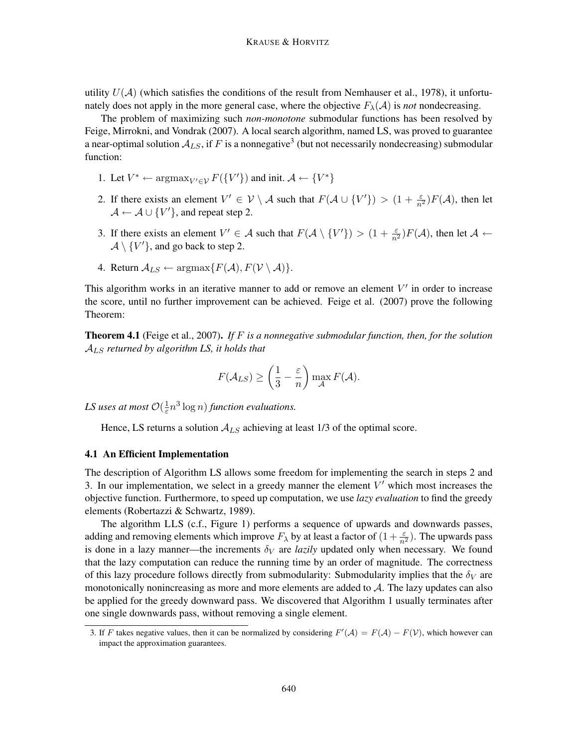utility  $U(\mathcal{A})$  (which satisfies the conditions of the result from Nemhauser et al., 1978), it unfortunately does not apply in the more general case, where the objective  $F_{\lambda}(\mathcal{A})$  is *not* nondecreasing.

The problem of maximizing such *non-monotone* submodular functions has been resolved by Feige, Mirrokni, and Vondrak (2007). A local search algorithm, named LS, was proved to guarantee a near-optimal solution  $\mathcal{A}_{LS}$ , if  $F$  is a nonnegative $^3$  (but not necessarily nondecreasing) submodular function:

- 1. Let  $V^* \leftarrow \operatorname{argmax}_{V' \in V} F({V'})$  and init.  $\mathcal{A} \leftarrow {V^*}$
- 2. If there exists an element  $V' \in V \setminus A$  such that  $F(A \cup \{V'\}) > (1 + \frac{\varepsilon}{n^2})F(A)$ , then let  $\mathcal{A} \leftarrow \mathcal{A} \cup \{V'\}$ , and repeat step 2.
- 3. If there exists an element  $V' \in \mathcal{A}$  such that  $F(\mathcal{A} \setminus \{V'\}) > (1 + \frac{\varepsilon}{n^2})F(\mathcal{A})$ , then let  $\mathcal{A} \leftarrow$  $\mathcal{A} \setminus \{V'\}$ , and go back to step 2.
- 4. Return  $A_{LS} \leftarrow \arg \max \{ F(A), F(V \setminus A) \}.$

This algorithm works in an iterative manner to add or remove an element  $V'$  in order to increase the score, until no further improvement can be achieved. Feige et al. (2007) prove the following Theorem:

Theorem 4.1 (Feige et al., 2007). *If* F *is a nonnegative submodular function, then, for the solution* ALS *returned by algorithm LS, it holds that*

$$
F(\mathcal{A}_{LS}) \ge \left(\frac{1}{3} - \frac{\varepsilon}{n}\right) \max_{\mathcal{A}} F(\mathcal{A}).
$$

*LS uses at most*  $\mathcal{O}(\frac{1}{\varepsilon})$  $\frac{1}{\varepsilon}$ n<sup>3</sup> log n) *function evaluations*.

Hence, LS returns a solution  $A_{LS}$  achieving at least 1/3 of the optimal score.

#### 4.1 An Efficient Implementation

The description of Algorithm LS allows some freedom for implementing the search in steps 2 and 3. In our implementation, we select in a greedy manner the element  $V'$  which most increases the objective function. Furthermore, to speed up computation, we use *lazy evaluation* to find the greedy elements (Robertazzi & Schwartz, 1989).

The algorithm LLS (c.f., Figure 1) performs a sequence of upwards and downwards passes, adding and removing elements which improve  $F_{\lambda}$  by at least a factor of  $(1 + \frac{\varepsilon}{n^2})$ . The upwards pass is done in a lazy manner—the increments  $\delta_V$  are *lazily* updated only when necessary. We found that the lazy computation can reduce the running time by an order of magnitude. The correctness of this lazy procedure follows directly from submodularity: Submodularity implies that the  $\delta_V$  are monotonically nonincreasing as more and more elements are added to A. The lazy updates can also be applied for the greedy downward pass. We discovered that Algorithm 1 usually terminates after one single downwards pass, without removing a single element.

<sup>3.</sup> If F takes negative values, then it can be normalized by considering  $F'(\mathcal{A}) = F(\mathcal{A}) - F(\mathcal{V})$ , which however can impact the approximation guarantees.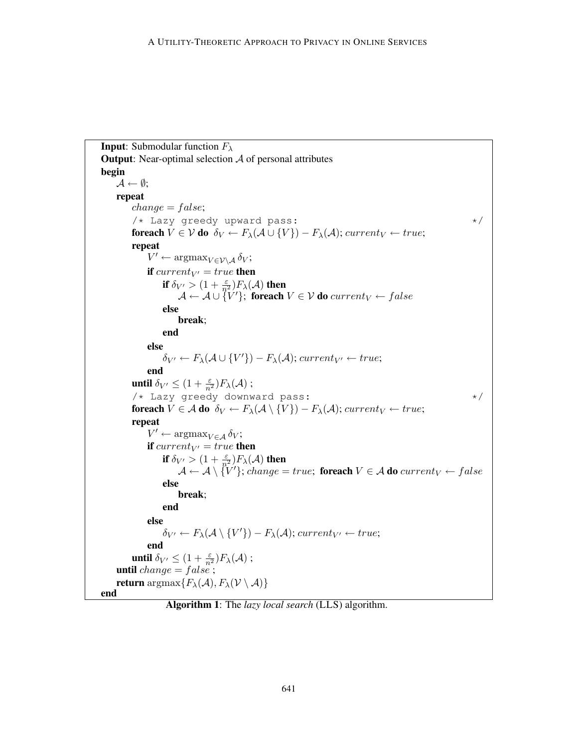```
Input: Submodular function F_{\lambda}Output: Near-optimal selection A of personal attributes
begin
     \mathcal{A} \leftarrow \emptyset;repeat
           change = false;/* Lazy greedy upward pass: */foreach V \in V do \delta_V \leftarrow F_{\lambda}(A \cup \{V\}) - F_{\lambda}(A); currentV \leftarrow true;repeat
                  V' \leftarrow \operatorname{argmax}_{V \in \mathcal{V} \setminus \mathcal{A}} \delta_V;if current_V = true then
                        if \delta_{V'} > (1 + \frac{\varepsilon}{n^2}) F_{\lambda}(\mathcal{A}) then
                              \mathcal{A} \leftarrow \mathcal{A} \cup \{V'\}; foreach V \in \mathcal{V} do \textit{current}_V \leftarrow \textit{false}else
                             break;
                       end
                 else
                        \delta_{V'} \leftarrow F_{\lambda}(\mathcal{A} \cup \{V'\}) - F_{\lambda}(\mathcal{A}); current_{V'} \leftarrow true;end
            until \delta_{V'} \leq (1+\frac{\varepsilon}{n^2}) F_\lambda(\mathcal{A}) ;
           /* Lazy greedy downward pass: */*
           foreach V \in \mathcal{A} do \delta_V \leftarrow F_\lambda(\mathcal{A} \setminus \{V\}) - F_\lambda(\mathcal{A}); currentV \leftarrow true;repeat
                  V' \leftarrow \operatorname{argmax}_{V \in \mathcal{A}} \delta_V;if current_V = true then
                        if \delta_{V'} > (1 + \frac{\varepsilon}{n^2}) F_{\lambda}(\mathcal{A}) then
                              \mathcal{A} \leftarrow \mathcal{A} \setminus \{V'\}; change = true; foreach V \in \mathcal{A} do current_V \leftarrow falseelse
                             break;
                       end
                 else
                        \delta_{V'} \leftarrow F_{\lambda}(\mathcal{A} \setminus \{V'\}) - F_{\lambda}(\mathcal{A}); current_{V'} \leftarrow true;end
            until \delta_{V'} \leq (1 + \frac{\varepsilon}{n^2}) F_{\lambda}(\mathcal{A});
     until change = false;
      return argmax\{F_{\lambda}(\mathcal{A}), F_{\lambda}(\mathcal{V} \setminus \mathcal{A})\}end
```
Algorithm 1: The *lazy local search* (LLS) algorithm.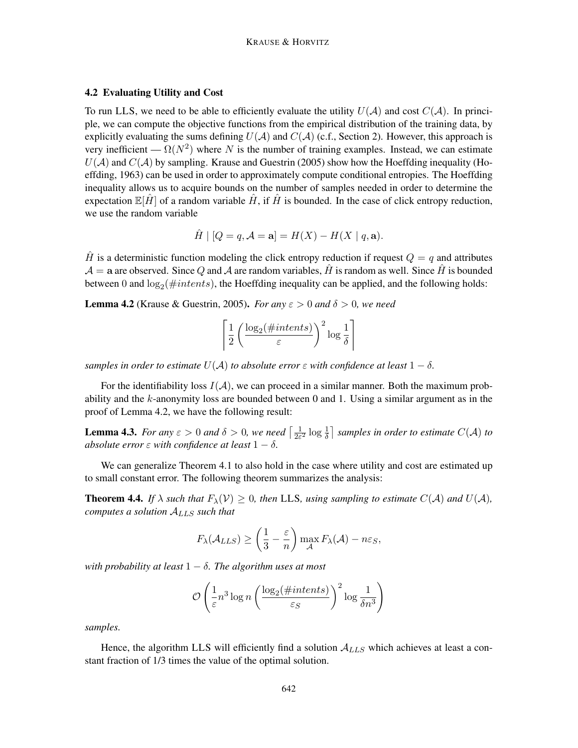## 4.2 Evaluating Utility and Cost

To run LLS, we need to be able to efficiently evaluate the utility  $U(\mathcal{A})$  and cost  $C(\mathcal{A})$ . In principle, we can compute the objective functions from the empirical distribution of the training data, by explicitly evaluating the sums defining  $U(\mathcal{A})$  and  $C(\mathcal{A})$  (c.f., Section 2). However, this approach is very inefficient —  $\Omega(N^2)$  where N is the number of training examples. Instead, we can estimate  $U(\mathcal{A})$  and  $C(\mathcal{A})$  by sampling. Krause and Guestrin (2005) show how the Hoeffding inequality (Hoeffding, 1963) can be used in order to approximately compute conditional entropies. The Hoeffding inequality allows us to acquire bounds on the number of samples needed in order to determine the expectation  $\mathbb{E}[H]$  of a random variable H, if H is bounded. In the case of click entropy reduction, we use the random variable

$$
H \mid [Q = q, \mathcal{A} = \mathbf{a}] = H(X) - H(X \mid q, \mathbf{a}).
$$

H is a deterministic function modeling the click entropy reduction if request  $Q = q$  and attributes  $\mathcal{A}$  = a are observed. Since Q and A are random variables,  $\hat{H}$  is random as well. Since  $\hat{H}$  is bounded between 0 and  $log_2(\#intents)$ , the Hoeffding inequality can be applied, and the following holds:

**Lemma 4.2** (Krause & Guestrin, 2005). *For any*  $\varepsilon > 0$  *and*  $\delta > 0$ *, we need* 

$$
\left[\frac{1}{2}\left(\frac{\log_2(\#intents)}{\varepsilon}\right)^2 \log\frac{1}{\delta}\right]
$$

*samples in order to estimate*  $U(\mathcal{A})$  *to absolute error*  $\varepsilon$  *with confidence at least*  $1 - \delta$ *.* 

For the identifiability loss  $I(\mathcal{A})$ , we can proceed in a similar manner. Both the maximum probability and the  $k$ -anonymity loss are bounded between 0 and 1. Using a similar argument as in the proof of Lemma 4.2, we have the following result:

**Lemma 4.3.** *For any*  $\varepsilon > 0$  *and*  $\delta > 0$ *, we need*  $\left[\frac{1}{2\varepsilon}\right]$  $\frac{1}{2\varepsilon^2} \log \frac{1}{\delta}$  *samples in order to estimate*  $C(\mathcal{A})$  *to absolute error*  $\varepsilon$  *with confidence at least*  $1 - \delta$ *.* 

We can generalize Theorem 4.1 to also hold in the case where utility and cost are estimated up to small constant error. The following theorem summarizes the analysis:

**Theorem 4.4.** *If*  $\lambda$  *such that*  $F_{\lambda}(V) \geq 0$ *, then* LLS*, using sampling to estimate*  $C(A)$  *and*  $U(A)$ *, computes a solution* ALLS *such that*

$$
F_{\lambda}(\mathcal{A}_{LLS}) \ge \left(\frac{1}{3} - \frac{\varepsilon}{n}\right) \max_{\mathcal{A}} F_{\lambda}(\mathcal{A}) - n\varepsilon_{S},
$$

*with probability at least*  $1 - \delta$ *. The algorithm uses at most* 

$$
\mathcal{O}\left(\frac{1}{\varepsilon}n^3\log n\left(\frac{\log_2(\#intents)}{\varepsilon_S}\right)^2\log\frac{1}{\delta n^3}\right)
$$

*samples.*

Hence, the algorithm LLS will efficiently find a solution  $A_{LLS}$  which achieves at least a constant fraction of 1/3 times the value of the optimal solution.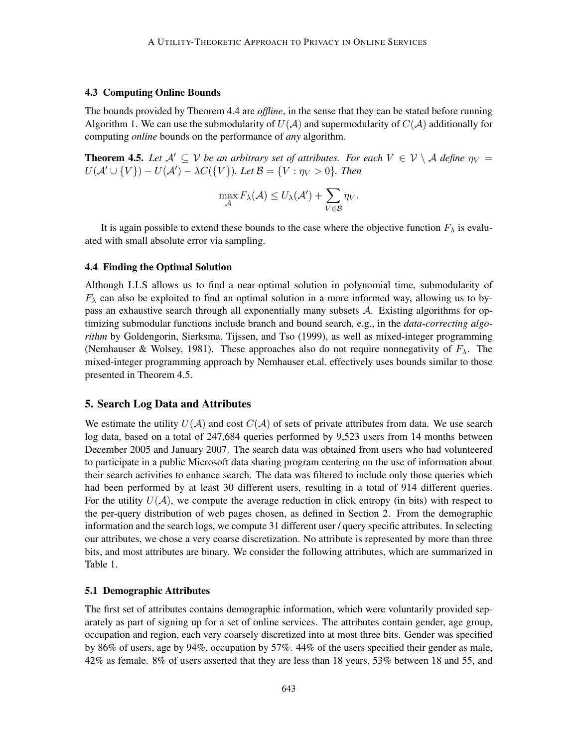#### 4.3 Computing Online Bounds

The bounds provided by Theorem 4.4 are *offline*, in the sense that they can be stated before running Algorithm 1. We can use the submodularity of  $U(\mathcal{A})$  and supermodularity of  $C(\mathcal{A})$  additionally for computing *online* bounds on the performance of *any* algorithm.

**Theorem 4.5.** Let  $A' \subseteq V$  be an arbitrary set of attributes. For each  $V \in V \setminus A$  define  $\eta_V =$  $U(\mathcal{A}' \cup \{V\}) - U(\mathcal{A}') - \lambda C(\{V\})$ *. Let*  $\mathcal{B} = \{V : \eta_V > 0\}$ *. Then* 

$$
\max_{\mathcal{A}} F_{\lambda}(\mathcal{A}) \leq U_{\lambda}(\mathcal{A}') + \sum_{V \in \mathcal{B}} \eta_V.
$$

It is again possible to extend these bounds to the case where the objective function  $F_{\lambda}$  is evaluated with small absolute error via sampling.

### 4.4 Finding the Optimal Solution

Although LLS allows us to find a near-optimal solution in polynomial time, submodularity of  $F_{\lambda}$  can also be exploited to find an optimal solution in a more informed way, allowing us to bypass an exhaustive search through all exponentially many subsets A. Existing algorithms for optimizing submodular functions include branch and bound search, e.g., in the *data-correcting algorithm* by Goldengorin, Sierksma, Tijssen, and Tso (1999), as well as mixed-integer programming (Nemhauser & Wolsey, 1981). These approaches also do not require nonnegativity of  $F_{\lambda}$ . The mixed-integer programming approach by Nemhauser et.al. effectively uses bounds similar to those presented in Theorem 4.5.

#### 5. Search Log Data and Attributes

We estimate the utility  $U(\mathcal{A})$  and cost  $C(\mathcal{A})$  of sets of private attributes from data. We use search log data, based on a total of 247,684 queries performed by 9,523 users from 14 months between December 2005 and January 2007. The search data was obtained from users who had volunteered to participate in a public Microsoft data sharing program centering on the use of information about their search activities to enhance search. The data was filtered to include only those queries which had been performed by at least 30 different users, resulting in a total of 914 different queries. For the utility  $U(\mathcal{A})$ , we compute the average reduction in click entropy (in bits) with respect to the per-query distribution of web pages chosen, as defined in Section 2. From the demographic information and the search logs, we compute 31 different user / query specific attributes. In selecting our attributes, we chose a very coarse discretization. No attribute is represented by more than three bits, and most attributes are binary. We consider the following attributes, which are summarized in Table 1.

# 5.1 Demographic Attributes

The first set of attributes contains demographic information, which were voluntarily provided separately as part of signing up for a set of online services. The attributes contain gender, age group, occupation and region, each very coarsely discretized into at most three bits. Gender was specified by 86% of users, age by 94%, occupation by 57%. 44% of the users specified their gender as male, 42% as female. 8% of users asserted that they are less than 18 years, 53% between 18 and 55, and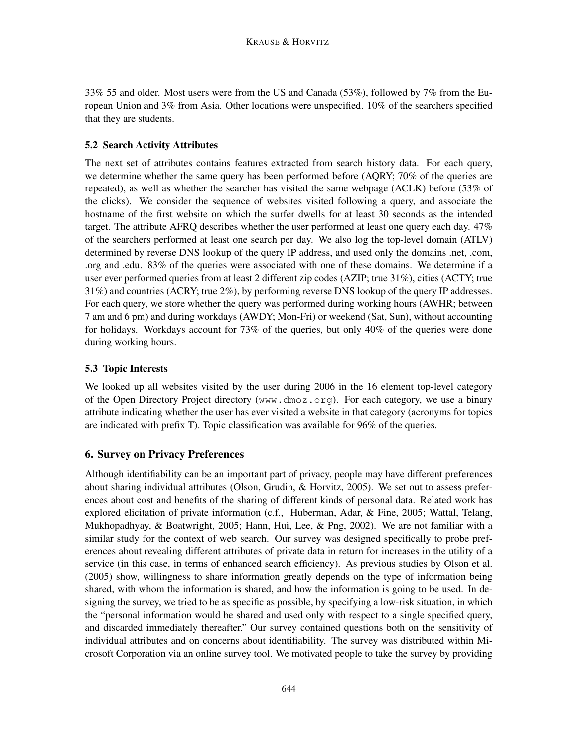33% 55 and older. Most users were from the US and Canada (53%), followed by 7% from the European Union and 3% from Asia. Other locations were unspecified. 10% of the searchers specified that they are students.

# 5.2 Search Activity Attributes

The next set of attributes contains features extracted from search history data. For each query, we determine whether the same query has been performed before (AQRY; 70% of the queries are repeated), as well as whether the searcher has visited the same webpage (ACLK) before (53% of the clicks). We consider the sequence of websites visited following a query, and associate the hostname of the first website on which the surfer dwells for at least 30 seconds as the intended target. The attribute AFRQ describes whether the user performed at least one query each day. 47% of the searchers performed at least one search per day. We also log the top-level domain (ATLV) determined by reverse DNS lookup of the query IP address, and used only the domains .net, .com, .org and .edu. 83% of the queries were associated with one of these domains. We determine if a user ever performed queries from at least 2 different zip codes (AZIP; true 31%), cities (ACTY; true 31%) and countries (ACRY; true 2%), by performing reverse DNS lookup of the query IP addresses. For each query, we store whether the query was performed during working hours (AWHR; between 7 am and 6 pm) and during workdays (AWDY; Mon-Fri) or weekend (Sat, Sun), without accounting for holidays. Workdays account for 73% of the queries, but only 40% of the queries were done during working hours.

# 5.3 Topic Interests

We looked up all websites visited by the user during 2006 in the 16 element top-level category of the Open Directory Project directory (www.dmoz.org). For each category, we use a binary attribute indicating whether the user has ever visited a website in that category (acronyms for topics are indicated with prefix T). Topic classification was available for 96% of the queries.

# 6. Survey on Privacy Preferences

Although identifiability can be an important part of privacy, people may have different preferences about sharing individual attributes (Olson, Grudin, & Horvitz, 2005). We set out to assess preferences about cost and benefits of the sharing of different kinds of personal data. Related work has explored elicitation of private information (c.f., Huberman, Adar, & Fine, 2005; Wattal, Telang, Mukhopadhyay, & Boatwright, 2005; Hann, Hui, Lee, & Png, 2002). We are not familiar with a similar study for the context of web search. Our survey was designed specifically to probe preferences about revealing different attributes of private data in return for increases in the utility of a service (in this case, in terms of enhanced search efficiency). As previous studies by Olson et al. (2005) show, willingness to share information greatly depends on the type of information being shared, with whom the information is shared, and how the information is going to be used. In designing the survey, we tried to be as specific as possible, by specifying a low-risk situation, in which the "personal information would be shared and used only with respect to a single specified query, and discarded immediately thereafter." Our survey contained questions both on the sensitivity of individual attributes and on concerns about identifiability. The survey was distributed within Microsoft Corporation via an online survey tool. We motivated people to take the survey by providing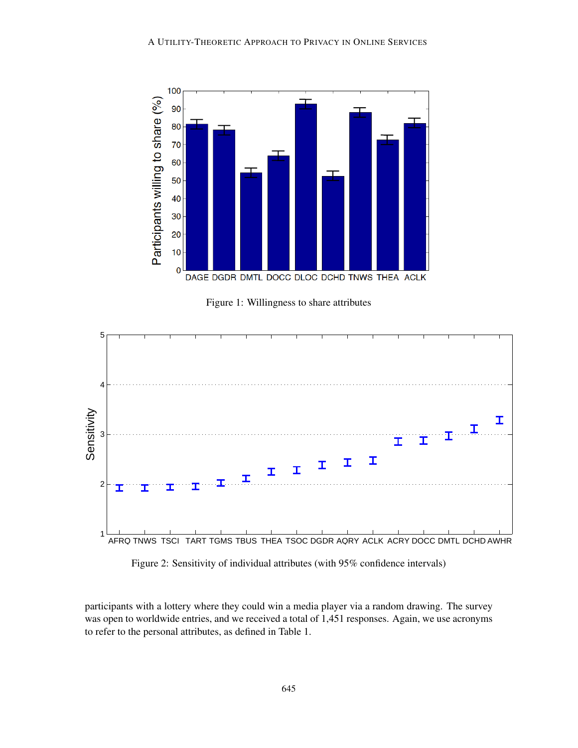

Figure 1: Willingness to share attributes



Figure 2: Sensitivity of individual attributes (with 95% confidence intervals)

participants with a lottery where they could win a media player via a random drawing. The survey was open to worldwide entries, and we received a total of 1,451 responses. Again, we use acronyms to refer to the personal attributes, as defined in Table 1.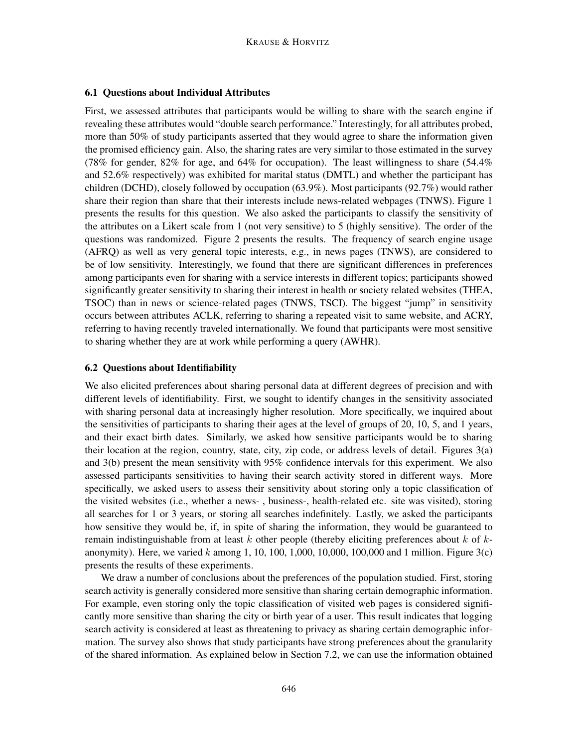# 6.1 Questions about Individual Attributes

First, we assessed attributes that participants would be willing to share with the search engine if revealing these attributes would "double search performance." Interestingly, for all attributes probed, more than 50% of study participants asserted that they would agree to share the information given the promised efficiency gain. Also, the sharing rates are very similar to those estimated in the survey (78% for gender, 82% for age, and 64% for occupation). The least willingness to share (54.4% and 52.6% respectively) was exhibited for marital status (DMTL) and whether the participant has children (DCHD), closely followed by occupation (63.9%). Most participants (92.7%) would rather share their region than share that their interests include news-related webpages (TNWS). Figure 1 presents the results for this question. We also asked the participants to classify the sensitivity of the attributes on a Likert scale from 1 (not very sensitive) to 5 (highly sensitive). The order of the questions was randomized. Figure 2 presents the results. The frequency of search engine usage (AFRQ) as well as very general topic interests, e.g., in news pages (TNWS), are considered to be of low sensitivity. Interestingly, we found that there are significant differences in preferences among participants even for sharing with a service interests in different topics; participants showed significantly greater sensitivity to sharing their interest in health or society related websites (THEA, TSOC) than in news or science-related pages (TNWS, TSCI). The biggest "jump" in sensitivity occurs between attributes ACLK, referring to sharing a repeated visit to same website, and ACRY, referring to having recently traveled internationally. We found that participants were most sensitive to sharing whether they are at work while performing a query (AWHR).

## 6.2 Questions about Identifiability

We also elicited preferences about sharing personal data at different degrees of precision and with different levels of identifiability. First, we sought to identify changes in the sensitivity associated with sharing personal data at increasingly higher resolution. More specifically, we inquired about the sensitivities of participants to sharing their ages at the level of groups of 20, 10, 5, and 1 years, and their exact birth dates. Similarly, we asked how sensitive participants would be to sharing their location at the region, country, state, city, zip code, or address levels of detail. Figures 3(a) and 3(b) present the mean sensitivity with 95% confidence intervals for this experiment. We also assessed participants sensitivities to having their search activity stored in different ways. More specifically, we asked users to assess their sensitivity about storing only a topic classification of the visited websites (i.e., whether a news- , business-, health-related etc. site was visited), storing all searches for 1 or 3 years, or storing all searches indefinitely. Lastly, we asked the participants how sensitive they would be, if, in spite of sharing the information, they would be guaranteed to remain indistinguishable from at least k other people (thereby eliciting preferences about k of  $k$ anonymity). Here, we varied k among 1, 10, 100, 1,000, 10,000, 100,000 and 1 million. Figure  $3(c)$ presents the results of these experiments.

We draw a number of conclusions about the preferences of the population studied. First, storing search activity is generally considered more sensitive than sharing certain demographic information. For example, even storing only the topic classification of visited web pages is considered significantly more sensitive than sharing the city or birth year of a user. This result indicates that logging search activity is considered at least as threatening to privacy as sharing certain demographic information. The survey also shows that study participants have strong preferences about the granularity of the shared information. As explained below in Section 7.2, we can use the information obtained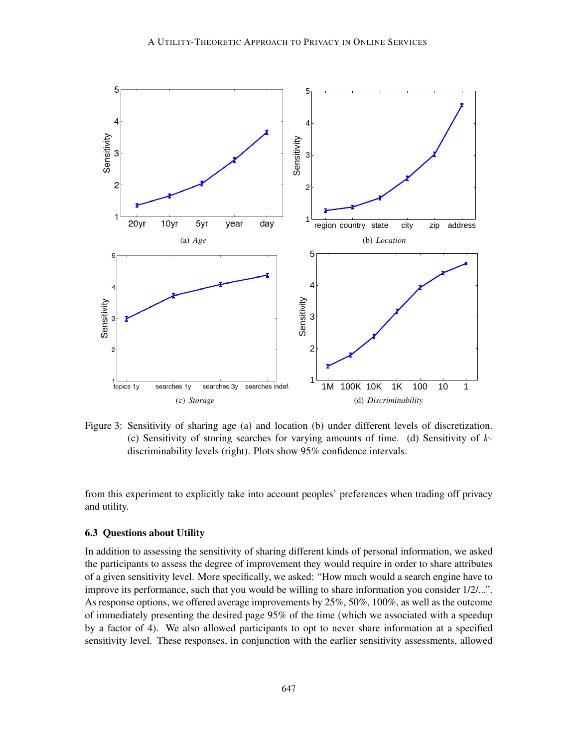

Figure 3: Sensitivity of sharing age (a) and location (b) under different levels of discretization. (c) Sensitivity of storing searches for varying amounts of time. (d) Sensitivity of  $k$ discriminability levels (right). Plots show 95% confidence intervals.

from this experiment to explicitly take into account peoples' preferences when trading off privacy and utility.

#### 6.3 Questions about Utility

In addition to assessing the sensitivity of sharing different kinds of personal information, we asked the participants to assess the degree of improvement they would require in order to share attributes of a given sensitivity level. More specifically, we asked: "How much would a search engine have to improve its performance, such that you would be willing to share information you consider 1/2/...". As response options, we offered average improvements by 25%, 50%, 100%, as well as the outcome of immediately presenting the desired page 95% of the time (which we associated with a speedup by a factor of 4). We also allowed participants to opt to never share information at a specified sensitivity level. These responses, in conjunction with the earlier sensitivity assessments, allowed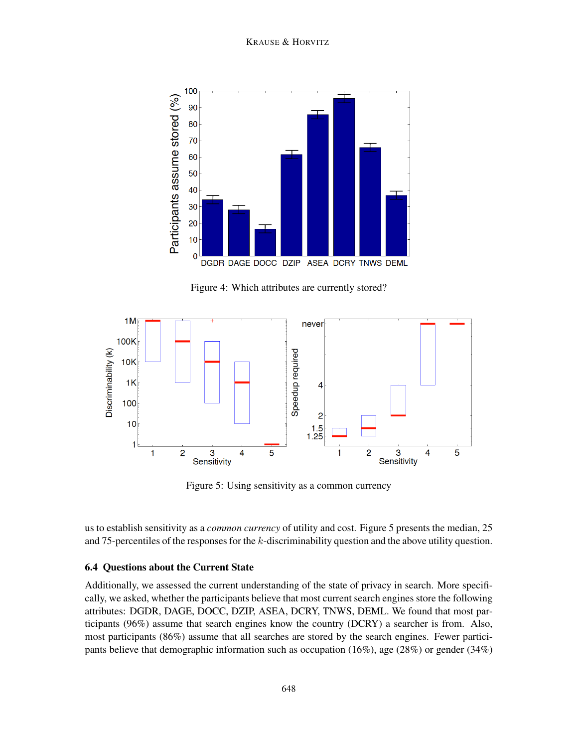

Figure 4: Which attributes are currently stored?



Figure 5: Using sensitivity as a common currency

us to establish sensitivity as a *common currency* of utility and cost. Figure 5 presents the median, 25 and 75-percentiles of the responses for the k-discriminability question and the above utility question.

# 6.4 Questions about the Current State

Additionally, we assessed the current understanding of the state of privacy in search. More specifically, we asked, whether the participants believe that most current search engines store the following attributes: DGDR, DAGE, DOCC, DZIP, ASEA, DCRY, TNWS, DEML. We found that most participants (96%) assume that search engines know the country (DCRY) a searcher is from. Also, most participants (86%) assume that all searches are stored by the search engines. Fewer participants believe that demographic information such as occupation (16%), age (28%) or gender (34%)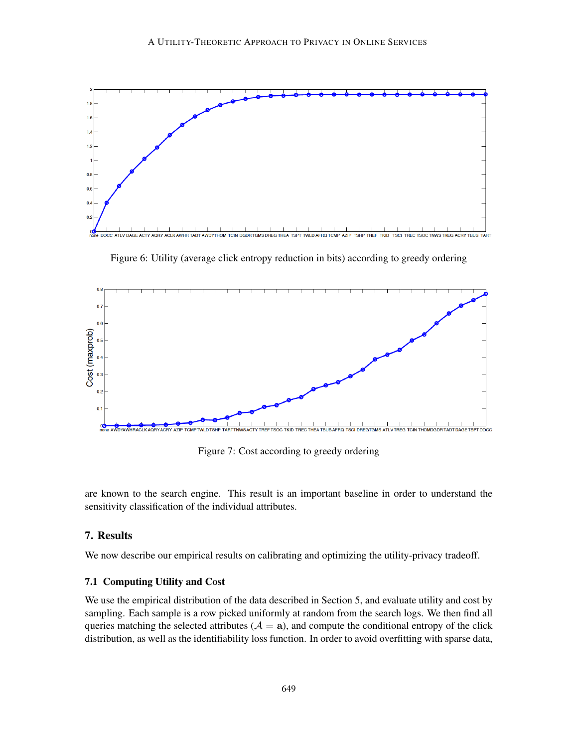

Figure 6: Utility (average click entropy reduction in bits) according to greedy ordering



Figure 7: Cost according to greedy ordering

are known to the search engine. This result is an important baseline in order to understand the sensitivity classification of the individual attributes.

# 7. Results

We now describe our empirical results on calibrating and optimizing the utility-privacy tradeoff.

# 7.1 Computing Utility and Cost

We use the empirical distribution of the data described in Section 5, and evaluate utility and cost by sampling. Each sample is a row picked uniformly at random from the search logs. We then find all queries matching the selected attributes ( $A = a$ ), and compute the conditional entropy of the click distribution, as well as the identifiability loss function. In order to avoid overfitting with sparse data,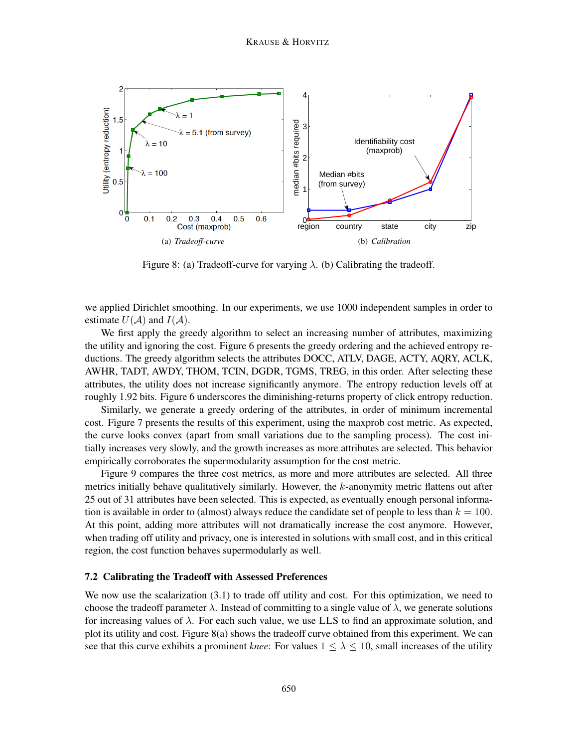

Figure 8: (a) Tradeoff-curve for varying  $\lambda$ . (b) Calibrating the tradeoff.

we applied Dirichlet smoothing. In our experiments, we use 1000 independent samples in order to estimate  $U(\mathcal{A})$  and  $I(\mathcal{A})$ .

We first apply the greedy algorithm to select an increasing number of attributes, maximizing the utility and ignoring the cost. Figure 6 presents the greedy ordering and the achieved entropy reductions. The greedy algorithm selects the attributes DOCC, ATLV, DAGE, ACTY, AQRY, ACLK, AWHR, TADT, AWDY, THOM, TCIN, DGDR, TGMS, TREG, in this order. After selecting these attributes, the utility does not increase significantly anymore. The entropy reduction levels off at roughly 1.92 bits. Figure 6 underscores the diminishing-returns property of click entropy reduction.

Similarly, we generate a greedy ordering of the attributes, in order of minimum incremental cost. Figure 7 presents the results of this experiment, using the maxprob cost metric. As expected, the curve looks convex (apart from small variations due to the sampling process). The cost initially increases very slowly, and the growth increases as more attributes are selected. This behavior empirically corroborates the supermodularity assumption for the cost metric.

Figure 9 compares the three cost metrics, as more and more attributes are selected. All three metrics initially behave qualitatively similarly. However, the  $k$ -anonymity metric flattens out after 25 out of 31 attributes have been selected. This is expected, as eventually enough personal information is available in order to (almost) always reduce the candidate set of people to less than  $k = 100$ . At this point, adding more attributes will not dramatically increase the cost anymore. However, when trading off utility and privacy, one is interested in solutions with small cost, and in this critical region, the cost function behaves supermodularly as well.

## 7.2 Calibrating the Tradeoff with Assessed Preferences

We now use the scalarization (3.1) to trade off utility and cost. For this optimization, we need to choose the tradeoff parameter  $\lambda$ . Instead of committing to a single value of  $\lambda$ , we generate solutions for increasing values of  $\lambda$ . For each such value, we use LLS to find an approximate solution, and plot its utility and cost. Figure 8(a) shows the tradeoff curve obtained from this experiment. We can see that this curve exhibits a prominent *knee*: For values  $1 \leq \lambda \leq 10$ , small increases of the utility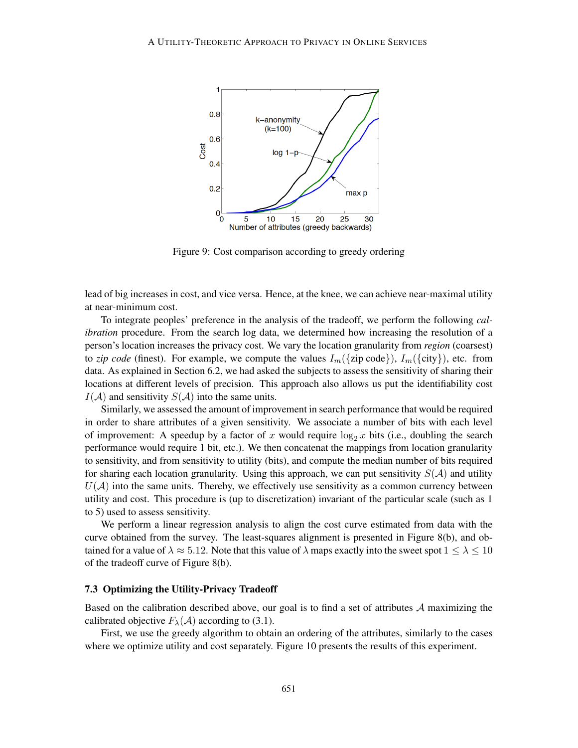

Figure 9: Cost comparison according to greedy ordering

lead of big increases in cost, and vice versa. Hence, at the knee, we can achieve near-maximal utility at near-minimum cost.

To integrate peoples' preference in the analysis of the tradeoff, we perform the following *calibration* procedure. From the search log data, we determined how increasing the resolution of a person's location increases the privacy cost. We vary the location granularity from *region* (coarsest) to *zip code* (finest). For example, we compute the values  $I_m(\{\text{zip code}\})$ ,  $I_m(\{\text{city}\})$ , etc. from data. As explained in Section 6.2, we had asked the subjects to assess the sensitivity of sharing their locations at different levels of precision. This approach also allows us put the identifiability cost  $I(\mathcal{A})$  and sensitivity  $S(\mathcal{A})$  into the same units.

Similarly, we assessed the amount of improvement in search performance that would be required in order to share attributes of a given sensitivity. We associate a number of bits with each level of improvement: A speedup by a factor of x would require  $\log_2 x$  bits (i.e., doubling the search performance would require 1 bit, etc.). We then concatenat the mappings from location granularity to sensitivity, and from sensitivity to utility (bits), and compute the median number of bits required for sharing each location granularity. Using this approach, we can put sensitivity  $S(\mathcal{A})$  and utility  $U(\mathcal{A})$  into the same units. Thereby, we effectively use sensitivity as a common currency between utility and cost. This procedure is (up to discretization) invariant of the particular scale (such as 1 to 5) used to assess sensitivity.

We perform a linear regression analysis to align the cost curve estimated from data with the curve obtained from the survey. The least-squares alignment is presented in Figure 8(b), and obtained for a value of  $\lambda \approx 5.12$ . Note that this value of  $\lambda$  maps exactly into the sweet spot  $1 \leq \lambda \leq 10$ of the tradeoff curve of Figure 8(b).

#### 7.3 Optimizing the Utility-Privacy Tradeoff

Based on the calibration described above, our goal is to find a set of attributes  $A$  maximizing the calibrated objective  $F_{\lambda}(\mathcal{A})$  according to (3.1).

First, we use the greedy algorithm to obtain an ordering of the attributes, similarly to the cases where we optimize utility and cost separately. Figure 10 presents the results of this experiment.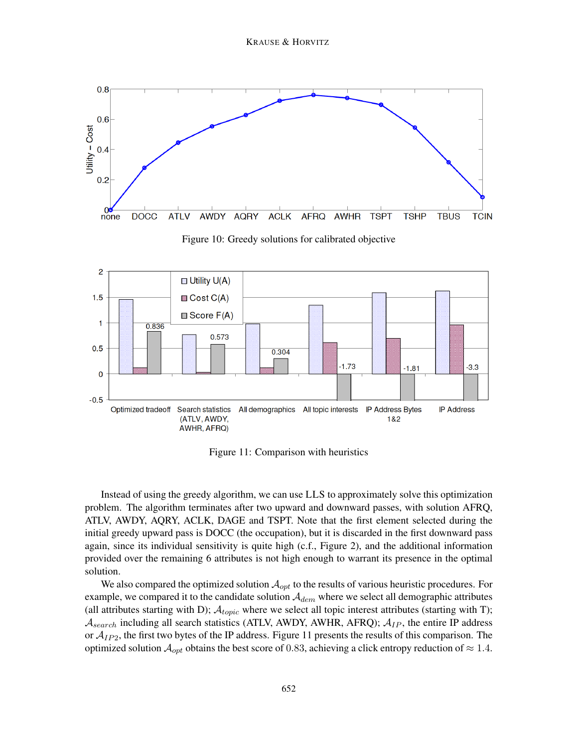

Figure 10: Greedy solutions for calibrated objective



Figure 11: Comparison with heuristics

Instead of using the greedy algorithm, we can use LLS to approximately solve this optimization problem. The algorithm terminates after two upward and downward passes, with solution AFRQ, ATLV, AWDY, AQRY, ACLK, DAGE and TSPT. Note that the first element selected during the initial greedy upward pass is DOCC (the occupation), but it is discarded in the first downward pass again, since its individual sensitivity is quite high (c.f., Figure 2), and the additional information provided over the remaining 6 attributes is not high enough to warrant its presence in the optimal solution.

We also compared the optimized solution  $\mathcal{A}_{opt}$  to the results of various heuristic procedures. For example, we compared it to the candidate solution  $A_{dem}$  where we select all demographic attributes (all attributes starting with D);  $A_{topic}$  where we select all topic interest attributes (starting with T);  $\mathcal{A}_{search}$  including all search statistics (ATLV, AWDY, AWHR, AFRQ);  $\mathcal{A}_{IP}$ , the entire IP address or  $\mathcal{A}_{IP2}$ , the first two bytes of the IP address. Figure 11 presents the results of this comparison. The optimized solution  $A_{opt}$  obtains the best score of 0.83, achieving a click entropy reduction of  $\approx 1.4$ .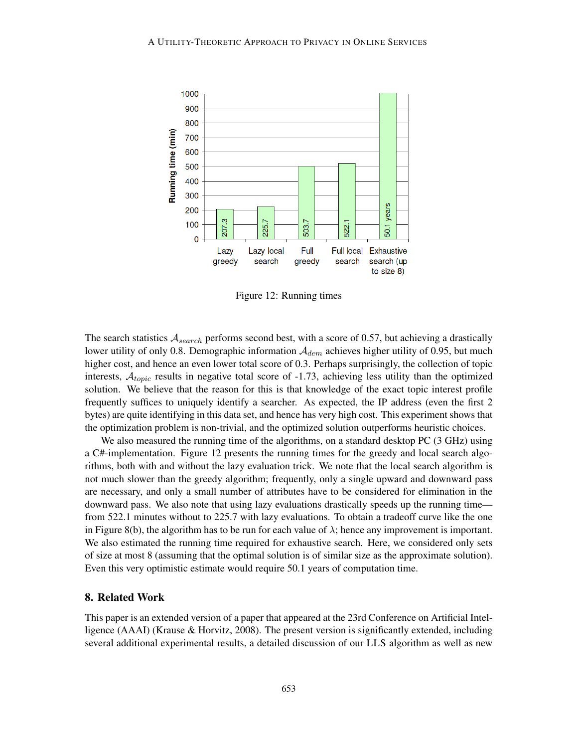

Figure 12: Running times

The search statistics  $A_{search}$  performs second best, with a score of 0.57, but achieving a drastically lower utility of only 0.8. Demographic information  $\mathcal{A}_{dem}$  achieves higher utility of 0.95, but much higher cost, and hence an even lower total score of 0.3. Perhaps surprisingly, the collection of topic interests,  $A_{topic}$  results in negative total score of -1.73, achieving less utility than the optimized solution. We believe that the reason for this is that knowledge of the exact topic interest profile frequently suffices to uniquely identify a searcher. As expected, the IP address (even the first 2 bytes) are quite identifying in this data set, and hence has very high cost. This experiment shows that the optimization problem is non-trivial, and the optimized solution outperforms heuristic choices.

We also measured the running time of the algorithms, on a standard desktop PC (3 GHz) using a C#-implementation. Figure 12 presents the running times for the greedy and local search algorithms, both with and without the lazy evaluation trick. We note that the local search algorithm is not much slower than the greedy algorithm; frequently, only a single upward and downward pass are necessary, and only a small number of attributes have to be considered for elimination in the downward pass. We also note that using lazy evaluations drastically speeds up the running time from 522.1 minutes without to 225.7 with lazy evaluations. To obtain a tradeoff curve like the one in Figure 8(b), the algorithm has to be run for each value of  $\lambda$ ; hence any improvement is important. We also estimated the running time required for exhaustive search. Here, we considered only sets of size at most 8 (assuming that the optimal solution is of similar size as the approximate solution). Even this very optimistic estimate would require 50.1 years of computation time.

## 8. Related Work

This paper is an extended version of a paper that appeared at the 23rd Conference on Artificial Intelligence (AAAI) (Krause & Horvitz, 2008). The present version is significantly extended, including several additional experimental results, a detailed discussion of our LLS algorithm as well as new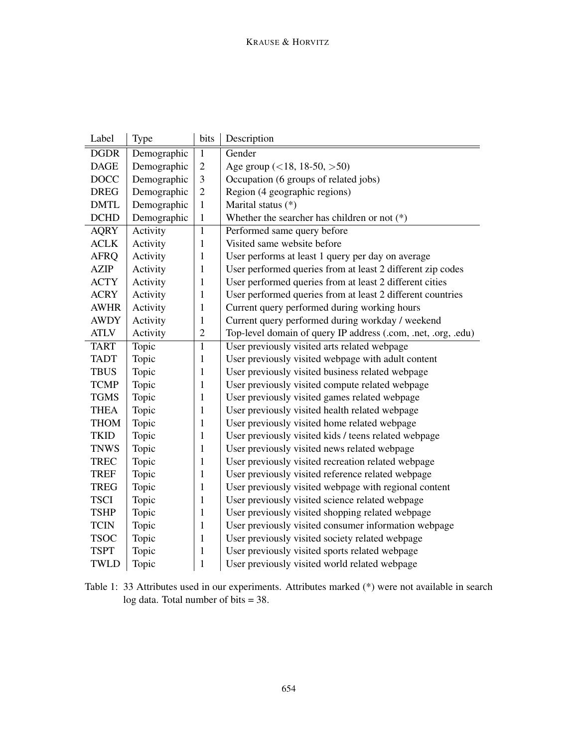| Label       | Type        | bits           | Description                                                   |  |  |
|-------------|-------------|----------------|---------------------------------------------------------------|--|--|
| <b>DGDR</b> | Demographic | $\mathbf{1}$   | Gender                                                        |  |  |
| <b>DAGE</b> | Demographic | $\overline{c}$ | Age group $(<18, 18-50, >50)$                                 |  |  |
| <b>DOCC</b> | Demographic | 3              | Occupation (6 groups of related jobs)                         |  |  |
| <b>DREG</b> | Demographic | $\sqrt{2}$     | Region (4 geographic regions)                                 |  |  |
| <b>DMTL</b> | Demographic | $\mathbf{1}$   | Marital status (*)                                            |  |  |
| <b>DCHD</b> | Demographic | $\mathbf{1}$   | Whether the searcher has children or not $(*)$                |  |  |
| <b>AQRY</b> | Activity    | $\mathbf{1}$   | Performed same query before                                   |  |  |
| <b>ACLK</b> | Activity    | $\mathbf{1}$   | Visited same website before                                   |  |  |
| <b>AFRQ</b> | Activity    | $\mathbf{1}$   | User performs at least 1 query per day on average             |  |  |
| <b>AZIP</b> | Activity    | 1              | User performed queries from at least 2 different zip codes    |  |  |
| <b>ACTY</b> | Activity    | 1              | User performed queries from at least 2 different cities       |  |  |
| <b>ACRY</b> | Activity    | $\mathbf{1}$   | User performed queries from at least 2 different countries    |  |  |
| <b>AWHR</b> | Activity    | 1              | Current query performed during working hours                  |  |  |
| <b>AWDY</b> | Activity    | $\mathbf{1}$   | Current query performed during workday / weekend              |  |  |
| <b>ATLV</b> | Activity    | $\overline{c}$ | Top-level domain of query IP address (.com, .net, .org, .edu) |  |  |
| <b>TART</b> | Topic       | $\mathbf{1}$   | User previously visited arts related webpage                  |  |  |
| <b>TADT</b> | Topic       | 1              | User previously visited webpage with adult content            |  |  |
| <b>TBUS</b> | Topic       | 1              | User previously visited business related webpage              |  |  |
| <b>TCMP</b> | Topic       | 1              | User previously visited compute related webpage               |  |  |
| <b>TGMS</b> | Topic       | $\mathbf{1}$   | User previously visited games related webpage                 |  |  |
| <b>THEA</b> | Topic       | $\mathbf{1}$   | User previously visited health related webpage                |  |  |
| <b>THOM</b> | Topic       | $\mathbf{1}$   | User previously visited home related webpage                  |  |  |
| <b>TKID</b> | Topic       | 1              | User previously visited kids / teens related webpage          |  |  |
| <b>TNWS</b> | Topic       | $\mathbf{1}$   | User previously visited news related webpage                  |  |  |
| <b>TREC</b> | Topic       | $\mathbf{1}$   | User previously visited recreation related webpage            |  |  |
| <b>TREF</b> | Topic       | 1              | User previously visited reference related webpage             |  |  |
| <b>TREG</b> | Topic       | $\mathbf{1}$   | User previously visited webpage with regional content         |  |  |
| <b>TSCI</b> | Topic       | $\mathbf{1}$   | User previously visited science related webpage               |  |  |
| <b>TSHP</b> | Topic       | $\mathbf{1}$   | User previously visited shopping related webpage              |  |  |
| <b>TCIN</b> | Topic       | 1              | User previously visited consumer information webpage          |  |  |
| <b>TSOC</b> | Topic       | $\mathbf{1}$   | User previously visited society related webpage               |  |  |
| <b>TSPT</b> | Topic       | $\mathbf{1}$   | User previously visited sports related webpage                |  |  |
| <b>TWLD</b> | Topic       | $\mathbf{1}$   | User previously visited world related webpage                 |  |  |

Table 1: 33 Attributes used in our experiments. Attributes marked (\*) were not available in search log data. Total number of bits  $= 38$ .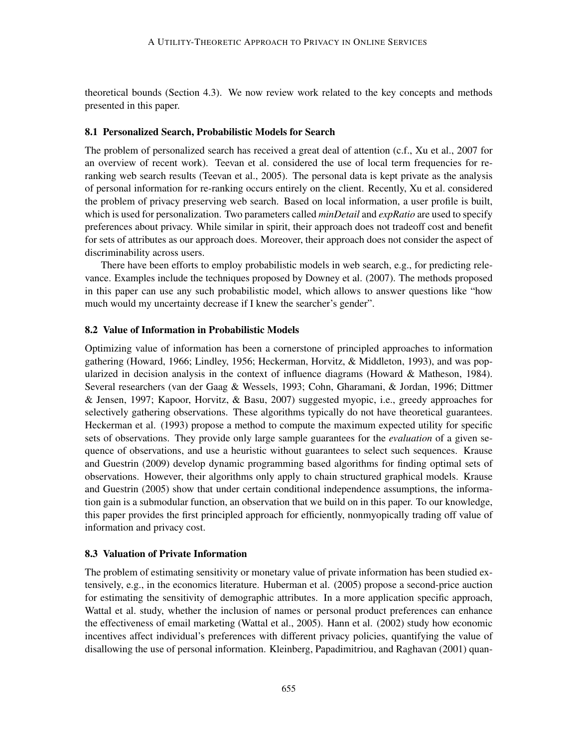theoretical bounds (Section 4.3). We now review work related to the key concepts and methods presented in this paper.

#### 8.1 Personalized Search, Probabilistic Models for Search

The problem of personalized search has received a great deal of attention (c.f., Xu et al., 2007 for an overview of recent work). Teevan et al. considered the use of local term frequencies for reranking web search results (Teevan et al., 2005). The personal data is kept private as the analysis of personal information for re-ranking occurs entirely on the client. Recently, Xu et al. considered the problem of privacy preserving web search. Based on local information, a user profile is built, which is used for personalization. Two parameters called *minDetail* and *expRatio* are used to specify preferences about privacy. While similar in spirit, their approach does not tradeoff cost and benefit for sets of attributes as our approach does. Moreover, their approach does not consider the aspect of discriminability across users.

There have been efforts to employ probabilistic models in web search, e.g., for predicting relevance. Examples include the techniques proposed by Downey et al. (2007). The methods proposed in this paper can use any such probabilistic model, which allows to answer questions like "how much would my uncertainty decrease if I knew the searcher's gender".

# 8.2 Value of Information in Probabilistic Models

Optimizing value of information has been a cornerstone of principled approaches to information gathering (Howard, 1966; Lindley, 1956; Heckerman, Horvitz, & Middleton, 1993), and was popularized in decision analysis in the context of influence diagrams (Howard & Matheson, 1984). Several researchers (van der Gaag & Wessels, 1993; Cohn, Gharamani, & Jordan, 1996; Dittmer & Jensen, 1997; Kapoor, Horvitz, & Basu, 2007) suggested myopic, i.e., greedy approaches for selectively gathering observations. These algorithms typically do not have theoretical guarantees. Heckerman et al. (1993) propose a method to compute the maximum expected utility for specific sets of observations. They provide only large sample guarantees for the *evaluation* of a given sequence of observations, and use a heuristic without guarantees to select such sequences. Krause and Guestrin (2009) develop dynamic programming based algorithms for finding optimal sets of observations. However, their algorithms only apply to chain structured graphical models. Krause and Guestrin (2005) show that under certain conditional independence assumptions, the information gain is a submodular function, an observation that we build on in this paper. To our knowledge, this paper provides the first principled approach for efficiently, nonmyopically trading off value of information and privacy cost.

#### 8.3 Valuation of Private Information

The problem of estimating sensitivity or monetary value of private information has been studied extensively, e.g., in the economics literature. Huberman et al. (2005) propose a second-price auction for estimating the sensitivity of demographic attributes. In a more application specific approach, Wattal et al. study, whether the inclusion of names or personal product preferences can enhance the effectiveness of email marketing (Wattal et al., 2005). Hann et al. (2002) study how economic incentives affect individual's preferences with different privacy policies, quantifying the value of disallowing the use of personal information. Kleinberg, Papadimitriou, and Raghavan (2001) quan-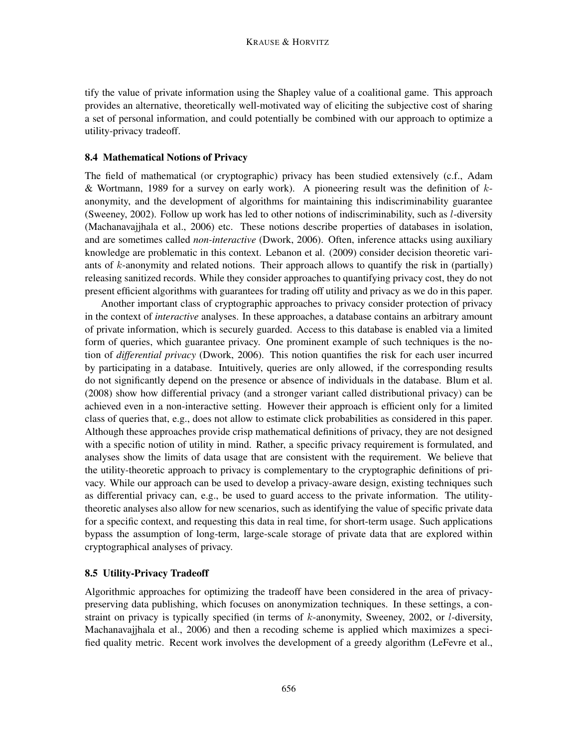tify the value of private information using the Shapley value of a coalitional game. This approach provides an alternative, theoretically well-motivated way of eliciting the subjective cost of sharing a set of personal information, and could potentially be combined with our approach to optimize a utility-privacy tradeoff.

## 8.4 Mathematical Notions of Privacy

The field of mathematical (or cryptographic) privacy has been studied extensively (c.f., Adam & Wortmann, 1989 for a survey on early work). A pioneering result was the definition of  $k$ anonymity, and the development of algorithms for maintaining this indiscriminability guarantee (Sweeney, 2002). Follow up work has led to other notions of indiscriminability, such as l-diversity (Machanavajjhala et al., 2006) etc. These notions describe properties of databases in isolation, and are sometimes called *non-interactive* (Dwork, 2006). Often, inference attacks using auxiliary knowledge are problematic in this context. Lebanon et al. (2009) consider decision theoretic variants of  $k$ -anonymity and related notions. Their approach allows to quantify the risk in (partially) releasing sanitized records. While they consider approaches to quantifying privacy cost, they do not present efficient algorithms with guarantees for trading off utility and privacy as we do in this paper.

Another important class of cryptographic approaches to privacy consider protection of privacy in the context of *interactive* analyses. In these approaches, a database contains an arbitrary amount of private information, which is securely guarded. Access to this database is enabled via a limited form of queries, which guarantee privacy. One prominent example of such techniques is the notion of *differential privacy* (Dwork, 2006). This notion quantifies the risk for each user incurred by participating in a database. Intuitively, queries are only allowed, if the corresponding results do not significantly depend on the presence or absence of individuals in the database. Blum et al. (2008) show how differential privacy (and a stronger variant called distributional privacy) can be achieved even in a non-interactive setting. However their approach is efficient only for a limited class of queries that, e.g., does not allow to estimate click probabilities as considered in this paper. Although these approaches provide crisp mathematical definitions of privacy, they are not designed with a specific notion of utility in mind. Rather, a specific privacy requirement is formulated, and analyses show the limits of data usage that are consistent with the requirement. We believe that the utility-theoretic approach to privacy is complementary to the cryptographic definitions of privacy. While our approach can be used to develop a privacy-aware design, existing techniques such as differential privacy can, e.g., be used to guard access to the private information. The utilitytheoretic analyses also allow for new scenarios, such as identifying the value of specific private data for a specific context, and requesting this data in real time, for short-term usage. Such applications bypass the assumption of long-term, large-scale storage of private data that are explored within cryptographical analyses of privacy.

## 8.5 Utility-Privacy Tradeoff

Algorithmic approaches for optimizing the tradeoff have been considered in the area of privacypreserving data publishing, which focuses on anonymization techniques. In these settings, a constraint on privacy is typically specified (in terms of k-anonymity, Sweeney, 2002, or l-diversity, Machanavajjhala et al., 2006) and then a recoding scheme is applied which maximizes a specified quality metric. Recent work involves the development of a greedy algorithm (LeFevre et al.,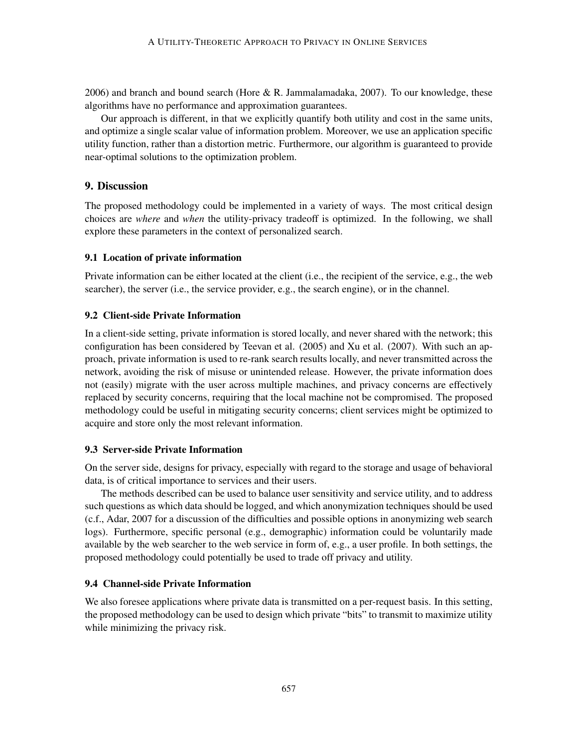2006) and branch and bound search (Hore  $\&$  R. Jammalamadaka, 2007). To our knowledge, these algorithms have no performance and approximation guarantees.

Our approach is different, in that we explicitly quantify both utility and cost in the same units, and optimize a single scalar value of information problem. Moreover, we use an application specific utility function, rather than a distortion metric. Furthermore, our algorithm is guaranteed to provide near-optimal solutions to the optimization problem.

# 9. Discussion

The proposed methodology could be implemented in a variety of ways. The most critical design choices are *where* and *when* the utility-privacy tradeoff is optimized. In the following, we shall explore these parameters in the context of personalized search.

# 9.1 Location of private information

Private information can be either located at the client (i.e., the recipient of the service, e.g., the web searcher), the server (i.e., the service provider, e.g., the search engine), or in the channel.

## 9.2 Client-side Private Information

In a client-side setting, private information is stored locally, and never shared with the network; this configuration has been considered by Teevan et al. (2005) and Xu et al. (2007). With such an approach, private information is used to re-rank search results locally, and never transmitted across the network, avoiding the risk of misuse or unintended release. However, the private information does not (easily) migrate with the user across multiple machines, and privacy concerns are effectively replaced by security concerns, requiring that the local machine not be compromised. The proposed methodology could be useful in mitigating security concerns; client services might be optimized to acquire and store only the most relevant information.

## 9.3 Server-side Private Information

On the server side, designs for privacy, especially with regard to the storage and usage of behavioral data, is of critical importance to services and their users.

The methods described can be used to balance user sensitivity and service utility, and to address such questions as which data should be logged, and which anonymization techniques should be used (c.f., Adar, 2007 for a discussion of the difficulties and possible options in anonymizing web search logs). Furthermore, specific personal (e.g., demographic) information could be voluntarily made available by the web searcher to the web service in form of, e.g., a user profile. In both settings, the proposed methodology could potentially be used to trade off privacy and utility.

# 9.4 Channel-side Private Information

We also foresee applications where private data is transmitted on a per-request basis. In this setting, the proposed methodology can be used to design which private "bits" to transmit to maximize utility while minimizing the privacy risk.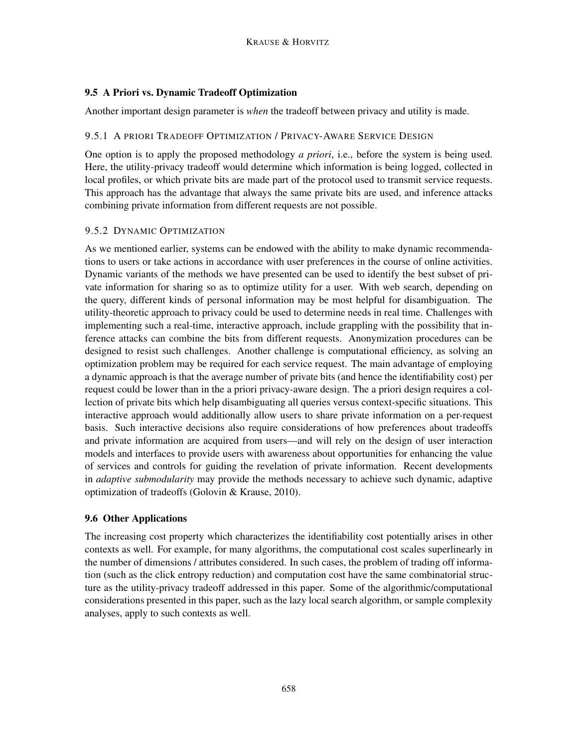# 9.5 A Priori vs. Dynamic Tradeoff Optimization

Another important design parameter is *when* the tradeoff between privacy and utility is made.

# 9.5.1 A PRIORI TRADEOFF OPTIMIZATION / PRIVACY-AWARE SERVICE DESIGN

One option is to apply the proposed methodology *a priori*, i.e., before the system is being used. Here, the utility-privacy tradeoff would determine which information is being logged, collected in local profiles, or which private bits are made part of the protocol used to transmit service requests. This approach has the advantage that always the same private bits are used, and inference attacks combining private information from different requests are not possible.

# 9.5.2 DYNAMIC OPTIMIZATION

As we mentioned earlier, systems can be endowed with the ability to make dynamic recommendations to users or take actions in accordance with user preferences in the course of online activities. Dynamic variants of the methods we have presented can be used to identify the best subset of private information for sharing so as to optimize utility for a user. With web search, depending on the query, different kinds of personal information may be most helpful for disambiguation. The utility-theoretic approach to privacy could be used to determine needs in real time. Challenges with implementing such a real-time, interactive approach, include grappling with the possibility that inference attacks can combine the bits from different requests. Anonymization procedures can be designed to resist such challenges. Another challenge is computational efficiency, as solving an optimization problem may be required for each service request. The main advantage of employing a dynamic approach is that the average number of private bits (and hence the identifiability cost) per request could be lower than in the a priori privacy-aware design. The a priori design requires a collection of private bits which help disambiguating all queries versus context-specific situations. This interactive approach would additionally allow users to share private information on a per-request basis. Such interactive decisions also require considerations of how preferences about tradeoffs and private information are acquired from users—and will rely on the design of user interaction models and interfaces to provide users with awareness about opportunities for enhancing the value of services and controls for guiding the revelation of private information. Recent developments in *adaptive submodularity* may provide the methods necessary to achieve such dynamic, adaptive optimization of tradeoffs (Golovin & Krause, 2010).

# 9.6 Other Applications

The increasing cost property which characterizes the identifiability cost potentially arises in other contexts as well. For example, for many algorithms, the computational cost scales superlinearly in the number of dimensions / attributes considered. In such cases, the problem of trading off information (such as the click entropy reduction) and computation cost have the same combinatorial structure as the utility-privacy tradeoff addressed in this paper. Some of the algorithmic/computational considerations presented in this paper, such as the lazy local search algorithm, or sample complexity analyses, apply to such contexts as well.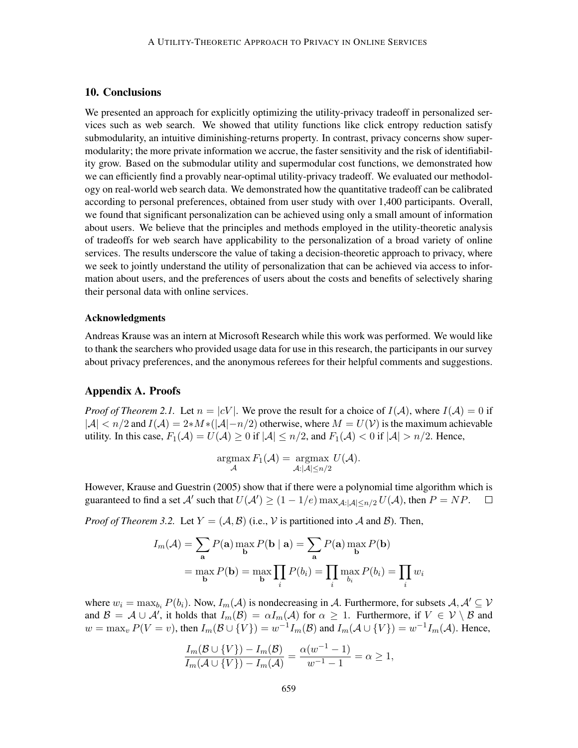# 10. Conclusions

We presented an approach for explicitly optimizing the utility-privacy tradeoff in personalized services such as web search. We showed that utility functions like click entropy reduction satisfy submodularity, an intuitive diminishing-returns property. In contrast, privacy concerns show supermodularity; the more private information we accrue, the faster sensitivity and the risk of identifiability grow. Based on the submodular utility and supermodular cost functions, we demonstrated how we can efficiently find a provably near-optimal utility-privacy tradeoff. We evaluated our methodology on real-world web search data. We demonstrated how the quantitative tradeoff can be calibrated according to personal preferences, obtained from user study with over 1,400 participants. Overall, we found that significant personalization can be achieved using only a small amount of information about users. We believe that the principles and methods employed in the utility-theoretic analysis of tradeoffs for web search have applicability to the personalization of a broad variety of online services. The results underscore the value of taking a decision-theoretic approach to privacy, where we seek to jointly understand the utility of personalization that can be achieved via access to information about users, and the preferences of users about the costs and benefits of selectively sharing their personal data with online services.

#### Acknowledgments

Andreas Krause was an intern at Microsoft Research while this work was performed. We would like to thank the searchers who provided usage data for use in this research, the participants in our survey about privacy preferences, and the anonymous referees for their helpful comments and suggestions.

#### Appendix A. Proofs

*Proof of Theorem 2.1.* Let  $n = |cV|$ . We prove the result for a choice of  $I(A)$ , where  $I(A) = 0$  if  $|\mathcal{A}| < n/2$  and  $I(\mathcal{A}) = 2*M*(|\mathcal{A}|-n/2)$  otherwise, where  $M = U(\mathcal{V})$  is the maximum achievable utility. In this case,  $F_1(\mathcal{A}) = U(\mathcal{A}) \ge 0$  if  $|\mathcal{A}| \le n/2$ , and  $F_1(\mathcal{A}) < 0$  if  $|\mathcal{A}| > n/2$ . Hence,

$$
\operatorname*{argmax}_{\mathcal{A}} F_1(\mathcal{A}) = \operatorname*{argmax}_{\mathcal{A}:|\mathcal{A}| \leq n/2} U(\mathcal{A}).
$$

However, Krause and Guestrin (2005) show that if there were a polynomial time algorithm which is guaranteed to find a set A' such that  $U(\mathcal{A}') \ge (1 - 1/e) \max_{\mathcal{A}: |\mathcal{A}| \le n/2} U(\mathcal{A})$ , then  $P = NP$ .  $\Box$ 

*Proof of Theorem 3.2.* Let  $Y = (A, B)$  (i.e., V is partitioned into A and B). Then,

$$
I_m(\mathcal{A}) = \sum_{\mathbf{a}} P(\mathbf{a}) \max_{\mathbf{b}} P(\mathbf{b} \mid \mathbf{a}) = \sum_{\mathbf{a}} P(\mathbf{a}) \max_{\mathbf{b}} P(\mathbf{b})
$$

$$
= \max_{\mathbf{b}} P(\mathbf{b}) = \max_{\mathbf{b}} \prod_{i} P(b_i) = \prod_{i} \max_{b_i} P(b_i) = \prod_{i} w_i
$$

where  $w_i = \max_{b_i} P(b_i)$ . Now,  $I_m(\mathcal{A})$  is nondecreasing in  $\mathcal{A}$ . Furthermore, for subsets  $\mathcal{A}, \mathcal{A}' \subseteq \mathcal{V}$ and  $\mathcal{B} = \mathcal{A} \cup \mathcal{A}'$ , it holds that  $I_m(\mathcal{B}) = \alpha I_m(\mathcal{A})$  for  $\alpha \geq 1$ . Furthermore, if  $V \in \mathcal{V} \setminus \mathcal{B}$  and  $w = \max_v P(V = v)$ , then  $I_m(\mathcal{B} \cup \{V\}) = w^{-1}I_m(\mathcal{B})$  and  $I_m(\mathcal{A} \cup \{V\}) = w^{-1}I_m(\mathcal{A})$ . Hence,

$$
\frac{I_m(\mathcal{B} \cup \{V\}) - I_m(\mathcal{B})}{I_m(\mathcal{A} \cup \{V\}) - I_m(\mathcal{A})} = \frac{\alpha(w^{-1} - 1)}{w^{-1} - 1} = \alpha \ge 1,
$$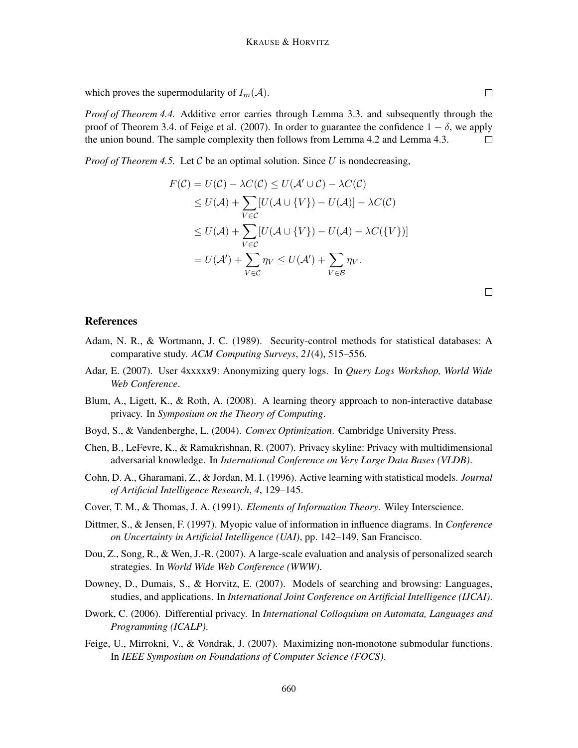which proves the supermodularity of  $I_m(\mathcal{A})$ .

*Proof of Theorem 4.4.* Additive error carries through Lemma 3.3. and subsequently through the proof of Theorem 3.4. of Feige et al. (2007). In order to guarantee the confidence  $1 - \delta$ , we apply the union bound. The sample complexity then follows from Lemma 4.2 and Lemma 4.3.  $\Box$ 

*Proof of Theorem 4.5.* Let  $C$  be an optimal solution. Since  $U$  is nondecreasing,

$$
F(C) = U(C) - \lambda C(C) \le U(\mathcal{A}' \cup C) - \lambda C(C)
$$
  
\n
$$
\le U(\mathcal{A}) + \sum_{V \in C} [U(\mathcal{A} \cup \{V\}) - U(\mathcal{A})] - \lambda C(C)
$$
  
\n
$$
\le U(\mathcal{A}) + \sum_{V \in C} [U(\mathcal{A} \cup \{V\}) - U(\mathcal{A}) - \lambda C(\{V\})]
$$
  
\n
$$
= U(\mathcal{A}') + \sum_{V \in C} \eta_V \le U(\mathcal{A}') + \sum_{V \in \mathcal{B}} \eta_V.
$$

## References

- Adam, N. R., & Wortmann, J. C. (1989). Security-control methods for statistical databases: A comparative study. *ACM Computing Surveys*, *21*(4), 515–556.
- Adar, E. (2007). User 4xxxxx9: Anonymizing query logs. In *Query Logs Workshop, World Wide Web Conference*.
- Blum, A., Ligett, K., & Roth, A. (2008). A learning theory approach to non-interactive database privacy. In *Symposium on the Theory of Computing*.
- Boyd, S., & Vandenberghe, L. (2004). *Convex Optimization*. Cambridge University Press.
- Chen, B., LeFevre, K., & Ramakrishnan, R. (2007). Privacy skyline: Privacy with multidimensional adversarial knowledge. In *International Conference on Very Large Data Bases (VLDB)*.
- Cohn, D. A., Gharamani, Z., & Jordan, M. I. (1996). Active learning with statistical models. *Journal of Artificial Intelligence Research*, *4*, 129–145.
- Cover, T. M., & Thomas, J. A. (1991). *Elements of Information Theory*. Wiley Interscience.
- Dittmer, S., & Jensen, F. (1997). Myopic value of information in influence diagrams. In *Conference on Uncertainty in Artificial Intelligence (UAI)*, pp. 142–149, San Francisco.
- Dou, Z., Song, R., & Wen, J.-R. (2007). A large-scale evaluation and analysis of personalized search strategies. In *World Wide Web Conference (WWW)*.
- Downey, D., Dumais, S., & Horvitz, E. (2007). Models of searching and browsing: Languages, studies, and applications. In *International Joint Conference on Artificial Intelligence (IJCAI)*.
- Dwork, C. (2006). Differential privacy. In *International Colloquium on Automata, Languages and Programming (ICALP)*.
- Feige, U., Mirrokni, V., & Vondrak, J. (2007). Maximizing non-monotone submodular functions. In *IEEE Symposium on Foundations of Computer Science (FOCS)*.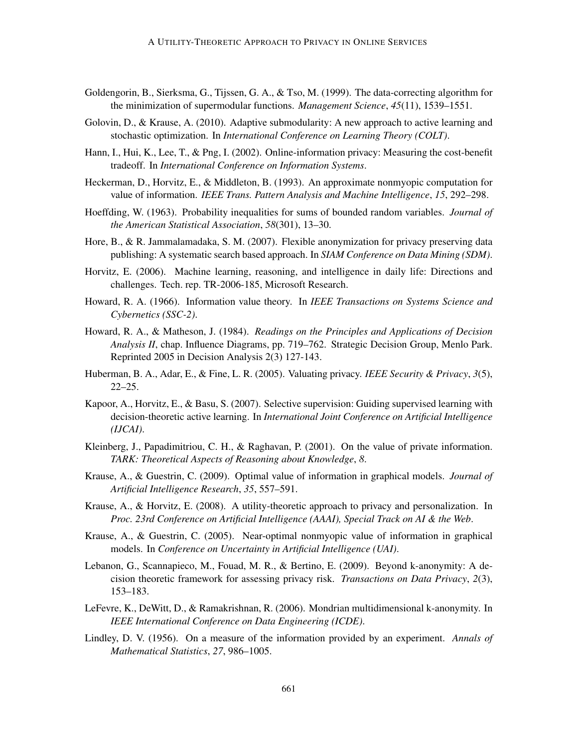- Goldengorin, B., Sierksma, G., Tijssen, G. A., & Tso, M. (1999). The data-correcting algorithm for the minimization of supermodular functions. *Management Science*, *45*(11), 1539–1551.
- Golovin, D., & Krause, A. (2010). Adaptive submodularity: A new approach to active learning and stochastic optimization. In *International Conference on Learning Theory (COLT)*.
- Hann, I., Hui, K., Lee, T., & Png, I. (2002). Online-information privacy: Measuring the cost-benefit tradeoff. In *International Conference on Information Systems*.
- Heckerman, D., Horvitz, E., & Middleton, B. (1993). An approximate nonmyopic computation for value of information. *IEEE Trans. Pattern Analysis and Machine Intelligence*, *15*, 292–298.
- Hoeffding, W. (1963). Probability inequalities for sums of bounded random variables. *Journal of the American Statistical Association*, *58*(301), 13–30.
- Hore, B., & R. Jammalamadaka, S. M. (2007). Flexible anonymization for privacy preserving data publishing: A systematic search based approach. In *SIAM Conference on Data Mining (SDM)*.
- Horvitz, E. (2006). Machine learning, reasoning, and intelligence in daily life: Directions and challenges. Tech. rep. TR-2006-185, Microsoft Research.
- Howard, R. A. (1966). Information value theory. In *IEEE Transactions on Systems Science and Cybernetics (SSC-2)*.
- Howard, R. A., & Matheson, J. (1984). *Readings on the Principles and Applications of Decision Analysis II*, chap. Influence Diagrams, pp. 719–762. Strategic Decision Group, Menlo Park. Reprinted 2005 in Decision Analysis 2(3) 127-143.
- Huberman, B. A., Adar, E., & Fine, L. R. (2005). Valuating privacy. *IEEE Security & Privacy*, *3*(5), 22–25.
- Kapoor, A., Horvitz, E., & Basu, S. (2007). Selective supervision: Guiding supervised learning with decision-theoretic active learning. In *International Joint Conference on Artificial Intelligence (IJCAI)*.
- Kleinberg, J., Papadimitriou, C. H., & Raghavan, P. (2001). On the value of private information. *TARK: Theoretical Aspects of Reasoning about Knowledge*, *8*.
- Krause, A., & Guestrin, C. (2009). Optimal value of information in graphical models. *Journal of Artificial Intelligence Research*, *35*, 557–591.
- Krause, A., & Horvitz, E. (2008). A utility-theoretic approach to privacy and personalization. In *Proc. 23rd Conference on Artificial Intelligence (AAAI), Special Track on AI & the Web*.
- Krause, A., & Guestrin, C. (2005). Near-optimal nonmyopic value of information in graphical models. In *Conference on Uncertainty in Artificial Intelligence (UAI)*.
- Lebanon, G., Scannapieco, M., Fouad, M. R., & Bertino, E. (2009). Beyond k-anonymity: A decision theoretic framework for assessing privacy risk. *Transactions on Data Privacy*, *2*(3), 153–183.
- LeFevre, K., DeWitt, D., & Ramakrishnan, R. (2006). Mondrian multidimensional k-anonymity. In *IEEE International Conference on Data Engineering (ICDE)*.
- Lindley, D. V. (1956). On a measure of the information provided by an experiment. *Annals of Mathematical Statistics*, *27*, 986–1005.